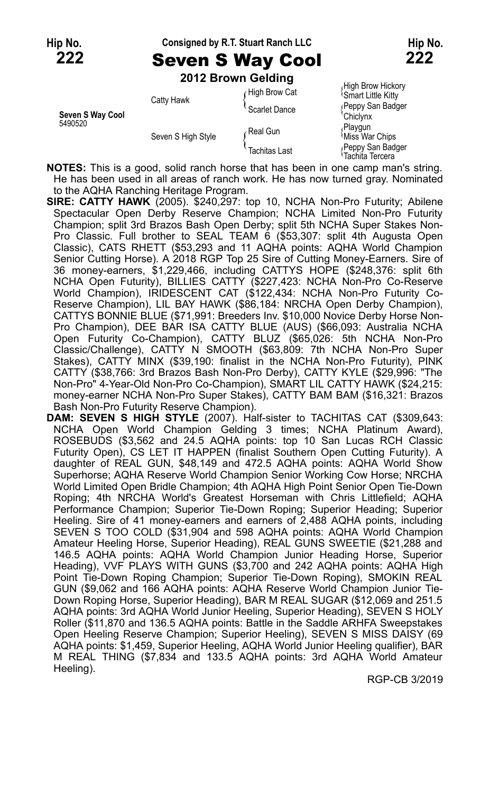### **Hip No. Consigned by R.T. Stuart Ranch LLC Hip No.**

# **222** Seven S Way Cool **222**

**2012 Brown Gelding**

|                             |                    | <b>2012 Brown Gelaing</b> |                                                |
|-----------------------------|--------------------|---------------------------|------------------------------------------------|
| Seven S Way Cool<br>5490520 | Catty Hawk         | High Brow Cat             | High Brow Hickory<br><b>Smart Little Kitty</b> |
|                             |                    | Scarlet Dance             | (Peppy San Badger<br>'Chiclynx                 |
|                             | Seven S High Style | Real Gun                  | Playgun<br>Miss War Chips                      |
|                             |                    | <b>Tachitas Last</b>      | Peppy San Badger<br>Tachita Tercera            |

**NOTES:** This is a good, solid ranch horse that has been in one camp man's string. He has been used in all areas of ranch work. He has now turned gray. Nominated to the AQHA Ranching Heritage Program.

**SIRE: CATTY HAWK** (2005). \$240,297: top 10, NCHA Non-Pro Futurity; Abilene Spectacular Open Derby Reserve Champion; NCHA Limited Non-Pro Futurity Champion; split 3rd Brazos Bash Open Derby; split 5th NCHA Super Stakes Non-Pro Classic. Full brother to SEAL TEAM 6 (\$53,307: split 4th Augusta Open Classic), CATS RHETT (\$53,293 and 11 AQHA points: AQHA World Champion Senior Cutting Horse). A 2018 RGP Top 25 Sire of Cutting Money-Earners. Sire of 36 money-earners, \$1,229,466, including CATTYS HOPE (\$248,376: split 6th NCHA Open Futurity), BILLIES CATTY (\$227,423: NCHA Non-Pro Co-Reserve World Champion), IRIDESCENT CAT (\$122,434: NCHA Non-Pro Futurity Co-Reserve Champion), LIL BAY HAWK (\$86,184: NRCHA Open Derby Champion), CATTYS BONNIE BLUE (\$71,991: Breeders Inv. \$10,000 Novice Derby Horse Non-Pro Champion), DEE BAR ISA CATTY BLUE (AUS) (\$66,093: Australia NCHA Open Futurity Co-Champion), CATTY BLUZ (\$65,026: 5th NCHA Non-Pro Classic/Challenge), CATTY N SMOOTH (\$63,809: 7th NCHA Non-Pro Super Stakes), CATTY MINX (\$39,190: finalist in the NCHA Non-Pro Futurity), PINK CATTY (\$38,766: 3rd Brazos Bash Non-Pro Derby), CATTY KYLE (\$29,996: "The Non-Pro" 4-Year-Old Non-Pro Co-Champion), SMART LIL CATTY HAWK (\$24,215: money-earner NCHA Non-Pro Super Stakes), CATTY BAM BAM (\$16,321: Brazos Bash Non-Pro Futurity Reserve Champion).

**DAM: SEVEN S HIGH STYLE** (2007). Half-sister to TACHITAS CAT (\$309,643: NCHA Open World Champion Gelding 3 times; NCHA Platinum Award), ROSEBUDS (\$3,562 and 24.5 AQHA points: top 10 San Lucas RCH Classic Futurity Open), CS LET IT HAPPEN (finalist Southern Open Cutting Futurity). A daughter of REAL GUN, \$48,149 and 472.5 AQHA points: AQHA World Show Superhorse; AQHA Reserve World Champion Senior Working Cow Horse; NRCHA World Limited Open Bridle Champion; 4th AQHA High Point Senior Open Tie-Down Roping; 4th NRCHA World's Greatest Horseman with Chris Littlefield; AQHA Performance Champion; Superior Tie-Down Roping; Superior Heading; Superior Heeling. Sire of 41 money-earners and earners of 2,488 AQHA points, including SEVEN S TOO COLD (\$31,904 and 598 AQHA points: AQHA World Champion Amateur Heeling Horse, Superior Heading), REAL GUNS SWEETIE (\$21,288 and 146.5 AQHA points: AQHA World Champion Junior Heading Horse, Superior Heading), VVF PLAYS WITH GUNS (\$3,700 and 242 AQHA points: AQHA High Point Tie-Down Roping Champion; Superior Tie-Down Roping), SMOKIN REAL GUN (\$9,062 and 166 AQHA points: AQHA Reserve World Champion Junior Tie-Down Roping Horse, Superior Heading), BAR M REAL SUGAR (\$12,069 and 251.5 AQHA points: 3rd AQHA World Junior Heeling, Superior Heading), SEVEN S HOLY Roller (\$11,870 and 136.5 AQHA points: Battle in the Saddle ARHFA Sweepstakes Open Heeling Reserve Champion; Superior Heeling), SEVEN S MISS DAISY (69 AQHA points: \$1,459, Superior Heeling, AQHA World Junior Heeling qualifier), BAR M REAL THING (\$7,834 and 133.5 AQHA points: 3rd AQHA World Amateur Heeling).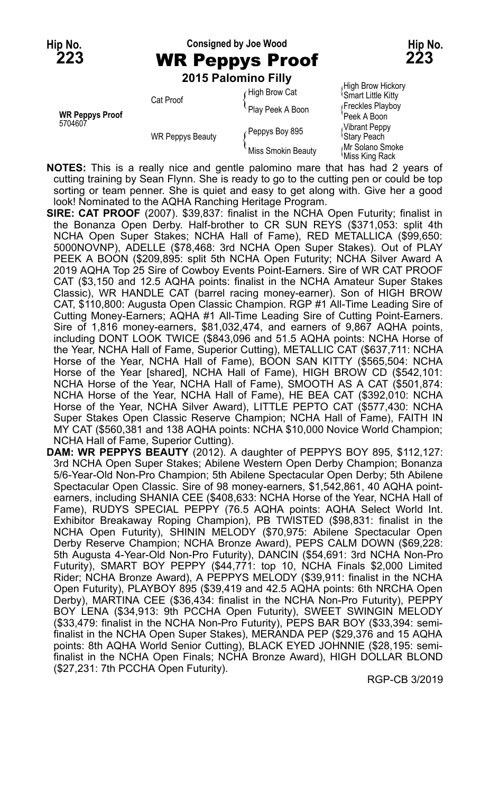**Hip No. Consigned by Joe Wood Hip No.**

**2015 Palomino Filly**

|                                   |                         | <b>LUIJ FAIVIIIIIU LIIIV</b> |                                                |
|-----------------------------------|-------------------------|------------------------------|------------------------------------------------|
| <b>WR Peppys Proof</b><br>5704607 | Cat Proof               | High Brow Cat                | High Brow Hickory<br><b>Smart Little Kitty</b> |
|                                   |                         | Play Peek A Boon             | Freckles Playboy<br>Peek A Boon                |
|                                   | <b>WR Peppys Beauty</b> | Peppys Boy 895               | Vibrant Peppy<br><sup>l</sup> Stary Peach      |
|                                   |                         | Miss Smokin Beauty           | Mr Solano Smoke<br>Miss King Rack              |

**NOTES:** This is a really nice and gentle palomino mare that has had 2 years of cutting training by Sean Flynn. She is ready to go to the cutting pen or could be top sorting or team penner. She is quiet and easy to get along with. Give her a good look! Nominated to the AQHA Ranching Heritage Program.

- **SIRE: CAT PROOF** (2007). \$39,837: finalist in the NCHA Open Futurity; finalist in the Bonanza Open Derby. Half-brother to CR SUN REYS (\$371,053: split 4th NCHA Open Super Stakes; NCHA Hall of Fame), RED METALLICA (\$99,650: 5000NOVNP), ADELLE (\$78,468: 3rd NCHA Open Super Stakes). Out of PLAY PEEK A BOON (\$209,895: split 5th NCHA Open Futurity; NCHA Silver Award A 2019 AQHA Top 25 Sire of Cowboy Events Point-Earners. Sire of WR CAT PROOF CAT (\$3,150 and 12.5 AQHA points: finalist in the NCHA Amateur Super Stakes Classic), WR HANDLE CAT (barrel racing money-earner). Son of HIGH BROW CAT, \$110,800: Augusta Open Classic Champion. RGP #1 All-Time Leading Sire of Cutting Money-Earners; AQHA #1 All-Time Leading Sire of Cutting Point-Earners. Sire of 1,816 money-earners, \$81,032,474, and earners of 9,867 AQHA points, including DONT LOOK TWICE (\$843,096 and 51.5 AQHA points: NCHA Horse of the Year, NCHA Hall of Fame, Superior Cutting), METALLIC CAT (\$637,711: NCHA Horse of the Year, NCHA Hall of Fame), BOON SAN KITTY (\$565,504: NCHA Horse of the Year [shared], NCHA Hall of Fame), HIGH BROW CD (\$542,101: NCHA Horse of the Year, NCHA Hall of Fame), SMOOTH AS A CAT (\$501,874: NCHA Horse of the Year, NCHA Hall of Fame), HE BEA CAT (\$392,010: NCHA Horse of the Year, NCHA Silver Award), LITTLE PEPTO CAT (\$577,430: NCHA Super Stakes Open Classic Reserve Champion; NCHA Hall of Fame), FAITH IN MY CAT (\$560,381 and 138 AQHA points: NCHA \$10,000 Novice World Champion; NCHA Hall of Fame, Superior Cutting).
- **DAM: WR PEPPYS BEAUTY** (2012). A daughter of PEPPYS BOY 895, \$112,127: 3rd NCHA Open Super Stakes; Abilene Western Open Derby Champion; Bonanza 5/6-Year-Old Non-Pro Champion; 5th Abilene Spectacular Open Derby; 5th Abilene Spectacular Open Classic. Sire of 98 money-earners, \$1,542,861, 40 AQHA pointearners, including SHANIA CEE (\$408,633: NCHA Horse of the Year, NCHA Hall of Fame), RUDYS SPECIAL PEPPY (76.5 AQHA points: AQHA Select World Int. Exhibitor Breakaway Roping Champion), PB TWISTED (\$98,831: finalist in the NCHA Open Futurity), SHININ MELODY (\$70,975: Abilene Spectacular Open Derby Reserve Champion; NCHA Bronze Award), PEPS CALM DOWN (\$69,228: 5th Augusta 4-Year-Old Non-Pro Futurity), DANCIN (\$54,691: 3rd NCHA Non-Pro Futurity), SMART BOY PEPPY (\$44,771: top 10, NCHA Finals \$2,000 Limited Rider; NCHA Bronze Award), A PEPPYS MELODY (\$39,911: finalist in the NCHA Open Futurity), PLAYBOY 895 (\$39,419 and 42.5 AQHA points: 6th NRCHA Open Derby), MARTINA CEE (\$36,434: finalist in the NCHA Non-Pro Futurity), PEPPY BOY LENA (\$34,913: 9th PCCHA Open Futurity), SWEET SWINGIN MELODY (\$33,479: finalist in the NCHA Non-Pro Futurity), PEPS BAR BOY (\$33,394: semifinalist in the NCHA Open Super Stakes), MERANDA PEP (\$29,376 and 15 AQHA points: 8th AQHA World Senior Cutting), BLACK EYED JOHNNIE (\$28,195: semifinalist in the NCHA Open Finals; NCHA Bronze Award), HIGH DOLLAR BLOND (\$27,231: 7th PCCHA Open Futurity).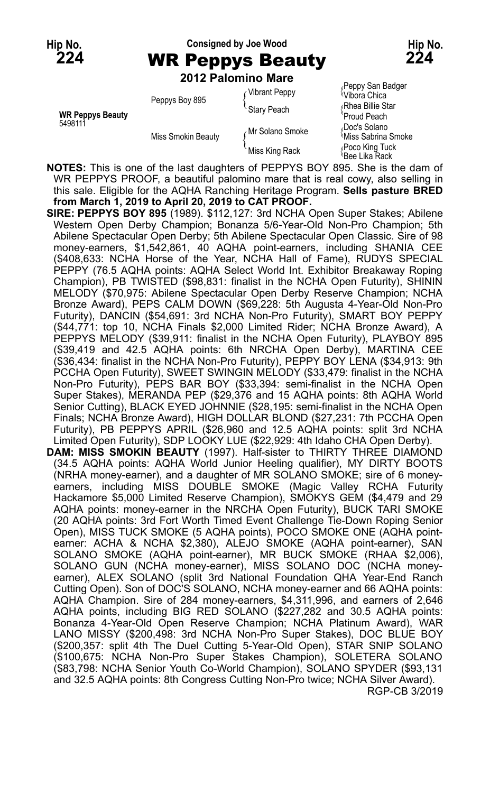### **Hip No. Consigned by Joe Wood Hip No. 224** WR Peppys Beauty **224**

**2012 Palomino Mare**

|                                    | <b>ZUIZ FAIUIIIIIU MAIC</b> |                 |                                                  |
|------------------------------------|-----------------------------|-----------------|--------------------------------------------------|
| <b>WR Peppys Beauty</b><br>5498111 | Peppys Boy 895              | Vibrant Peppy   | Peppy San Badger<br><sup>≀</sup> Vibora Chica    |
|                                    |                             | Stary Peach     | Rhea Billie Star<br>'Proud Peach                 |
|                                    | Miss Smokin Beauty          | Mr Solano Smoke | Doc's Solano،<br><sup>∖</sup> Miss Sabrina Smoke |
|                                    |                             | Miss King Rack  | Poco King Tuck،<br>lBee Lika Rack.               |

**NOTES:** This is one of the last daughters of PEPPYS BOY 895. She is the dam of WR PEPPYS PROOF, a beautiful palomino mare that is real cowy, also selling in this sale. Eligible for the AQHA Ranching Heritage Program. **Sells pasture BRED from March 1, 2019 to April 20, 2019 to CAT PROOF.**

**SIRE: PEPPYS BOY 895** (1989). \$112,127: 3rd NCHA Open Super Stakes; Abilene Western Open Derby Champion; Bonanza 5/6-Year-Old Non-Pro Champion; 5th Abilene Spectacular Open Derby; 5th Abilene Spectacular Open Classic. Sire of 98 money-earners, \$1,542,861, 40 AQHA point-earners, including SHANIA CEE (\$408,633: NCHA Horse of the Year, NCHA Hall of Fame), RUDYS SPECIAL PEPPY (76.5 AQHA points: AQHA Select World Int. Exhibitor Breakaway Roping Champion), PB TWISTED (\$98,831: finalist in the NCHA Open Futurity), SHININ MELODY (\$70,975: Abilene Spectacular Open Derby Reserve Champion; NCHA Bronze Award), PEPS CALM DOWN (\$69,228: 5th Augusta 4-Year-Old Non-Pro Futurity), DANCIN (\$54,691: 3rd NCHA Non-Pro Futurity), SMART BOY PEPPY (\$44,771: top 10, NCHA Finals \$2,000 Limited Rider; NCHA Bronze Award), A PEPPYS MELODY (\$39,911: finalist in the NCHA Open Futurity), PLAYBOY 895 (\$39,419 and 42.5 AQHA points: 6th NRCHA Open Derby), MARTINA CEE (\$36,434: finalist in the NCHA Non-Pro Futurity), PEPPY BOY LENA (\$34,913: 9th PCCHA Open Futurity), SWEET SWINGIN MELODY (\$33,479: finalist in the NCHA Non-Pro Futurity), PEPS BAR BOY (\$33,394: semi-finalist in the NCHA Open Super Stakes), MERANDA PEP (\$29,376 and 15 AQHA points: 8th AQHA World Senior Cutting), BLACK EYED JOHNNIE (\$28,195: semi-finalist in the NCHA Open Finals; NCHA Bronze Award), HIGH DOLLAR BLOND (\$27,231: 7th PCCHA Open Futurity), PB PEPPYS APRIL (\$26,960 and 12.5 AQHA points: split 3rd NCHA Limited Open Futurity), SDP LOOKY LUE (\$22,929: 4th Idaho CHA Open Derby). **DAM: MISS SMOKIN BEAUTY** (1997). Half-sister to THIRTY THREE DIAMOND (34.5 AQHA points: AQHA World Junior Heeling qualifier), MY DIRTY BOOTS (NRHA money-earner), and a daughter of MR SOLANO SMOKE; sire of 6 moneyearners, including MISS DOUBLE SMOKE (Magic Valley RCHA Futurity Hackamore \$5,000 Limited Reserve Champion), SMOKYS GEM (\$4,479 and 29 AQHA points: money-earner in the NRCHA Open Futurity), BUCK TARI SMOKE (20 AQHA points: 3rd Fort Worth Timed Event Challenge Tie-Down Roping Senior Open), MISS TUCK SMOKE (5 AQHA points), POCO SMOKE ONE (AQHA pointearner: ACHA & NCHA \$2,380), ALEJO SMOKE (AQHA point-earner), SAN SOLANO SMOKE (AQHA point-earner), MR BUCK SMOKE (RHAA \$2,006), SOLANO GUN (NCHA money-earner), MISS SOLANO DOC (NCHA moneyearner), ALEX SOLANO (split 3rd National Foundation QHA Year-End Ranch Cutting Open). Son of DOC'S SOLANO, NCHA money-earner and 66 AQHA points: AQHA Champion. Sire of 284 money-earners, \$4,311,996, and earners of 2,646 AQHA points, including BIG RED SOLANO (\$227,282 and 30.5 AQHA points: Bonanza 4-Year-Old Open Reserve Champion; NCHA Platinum Award), WAR LANO MISSY (\$200,498: 3rd NCHA Non-Pro Super Stakes), DOC BLUE BOY (\$200,357: split 4th The Duel Cutting 5-Year-Old Open), STAR SNIP SOLANO (\$100,675: NCHA Non-Pro Super Stakes Champion), SOLETERA SOLANO

(\$83,798: NCHA Senior Youth Co-World Champion), SOLANO SPYDER (\$93,131 and 32.5 AQHA points: 8th Congress Cutting Non-Pro twice; NCHA Silver Award). RGP-CB 3/2019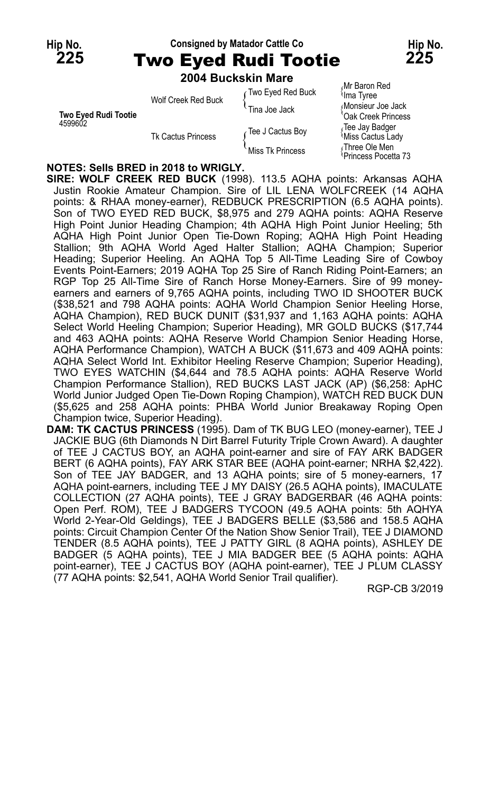#### Hip No. **Consigned by Matador Cattle Co Hip No. Hip No. 225** Two Eyed Rudi Tootie **225**

| 2004 Buckskin Mare |                   |
|--------------------|-------------------|
|                    | The Fred Ded Deal |

|                                        | 2007 DUCRJINI INGIC                              |                   |                                           |
|----------------------------------------|--------------------------------------------------|-------------------|-------------------------------------------|
| <b>Two Eyed Rudi Tootie</b><br>4599602 | Wolf Creek Red Buck<br><b>Tk Cactus Princess</b> | Two Eyed Red Buck | Mr Baron Red<br><sup>≀</sup> Ima Tyree    |
|                                        |                                                  | ⊤Tina Joe Jack    | Monsieur Joe Jack<br>'Oak Creek Princess  |
|                                        |                                                  | Tee J Cactus Boy  | Tee Jay Badger<br><b>Miss Cactus Lady</b> |
|                                        |                                                  | Miss Tk Princess  | Three Ole Men<br>Princess Pocetta 73      |

#### **NOTES: Sells BRED in 2018 to WRIGLY.**

**SIRE: WOLF CREEK RED BUCK** (1998). 113.5 AQHA points: Arkansas AQHA Justin Rookie Amateur Champion. Sire of LIL LENA WOLFCREEK (14 AQHA points: & RHAA money-earner), REDBUCK PRESCRIPTION (6.5 AQHA points). Son of TWO EYED RED BUCK, \$8,975 and 279 AQHA points: AQHA Reserve High Point Junior Heading Champion; 4th AQHA High Point Junior Heeling; 5th AQHA High Point Junior Open Tie-Down Roping; AQHA High Point Heading Stallion; 9th AQHA World Aged Halter Stallion; AQHA Champion; Superior Heading; Superior Heeling. An AQHA Top 5 All-Time Leading Sire of Cowboy Events Point-Earners; 2019 AQHA Top 25 Sire of Ranch Riding Point-Earners; an RGP Top 25 All-Time Sire of Ranch Horse Money-Earners. Sire of 99 moneyearners and earners of 9,765 AQHA points, including TWO ID SHOOTER BUCK (\$38,521 and 798 AQHA points: AQHA World Champion Senior Heeling Horse, AQHA Champion), RED BUCK DUNIT (\$31,937 and 1,163 AQHA points: AQHA Select World Heeling Champion; Superior Heading), MR GOLD BUCKS (\$17,744 and 463 AQHA points: AQHA Reserve World Champion Senior Heading Horse, AQHA Performance Champion), WATCH A BUCK (\$11,673 and 409 AQHA points: AQHA Select World Int. Exhibitor Heeling Reserve Champion; Superior Heading), TWO EYES WATCHIN (\$4,644 and 78.5 AQHA points: AQHA Reserve World Champion Performance Stallion), RED BUCKS LAST JACK (AP) (\$6,258: ApHC World Junior Judged Open Tie-Down Roping Champion), WATCH RED BUCK DUN (\$5,625 and 258 AQHA points: PHBA World Junior Breakaway Roping Open Champion twice, Superior Heading).

**DAM: TK CACTUS PRINCESS** (1995). Dam of TK BUG LEO (money-earner), TEE J JACKIE BUG (6th Diamonds N Dirt Barrel Futurity Triple Crown Award). A daughter of TEE J CACTUS BOY, an AQHA point-earner and sire of FAY ARK BADGER BERT (6 AQHA points), FAY ARK STAR BEE (AQHA point-earner; NRHA \$2,422). Son of TEE JAY BADGER, and 13 AQHA points; sire of 5 money-earners, 17 AQHA point-earners, including TEE J MY DAISY (26.5 AQHA points), IMACULATE COLLECTION (27 AQHA points), TEE J GRAY BADGERBAR (46 AQHA points: Open Perf. ROM), TEE J BADGERS TYCOON (49.5 AQHA points: 5th AQHYA World 2-Year-Old Geldings), TEE J BADGERS BELLE (\$3,586 and 158.5 AQHA points: Circuit Champion Center Of the Nation Show Senior Trail), TEE J DIAMOND TENDER (8.5 AQHA points), TEE J PATTY GIRL (8 AQHA points), ASHLEY DE BADGER (5 AQHA points), TEE J MIA BADGER BEE (5 AQHA points: AQHA point-earner), TEE J CACTUS BOY (AQHA point-earner), TEE J PLUM CLASSY (77 AQHA points: \$2,541, AQHA World Senior Trail qualifier).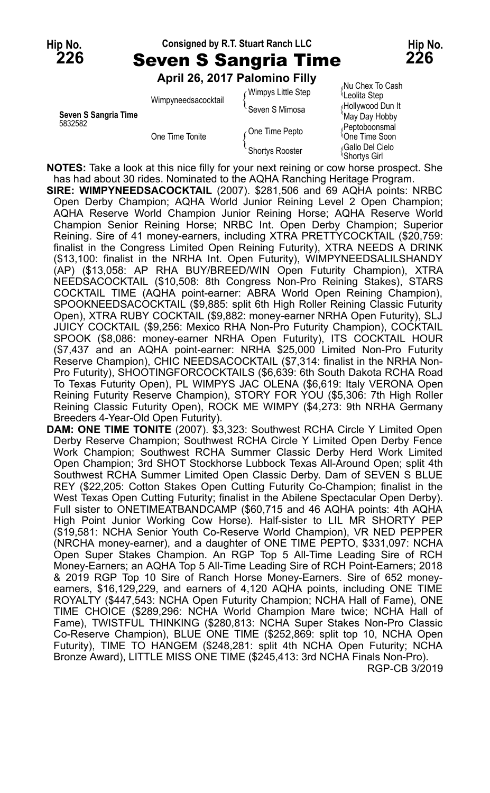#### **Hip No. Consigned by R.T. Stuart Ranch LLC Hip No. 226** Seven S Sangria Time **226**

**April 26, 2017 Palomino Filly**

| Seven S Sangria Time<br>5832582 | Wimpyneedsacocktail | Wimpys Little Step<br>Seven S Mimosa | Nu Chex To Cash<br>Leolita Step<br>Hollywood Dun It<br>May Day Hobby |
|---------------------------------|---------------------|--------------------------------------|----------------------------------------------------------------------|
|                                 | One Time Tonite     | One Time Pepto                       | Peptoboonsmal<br><sup>1</sup> One Time Soon                          |
|                                 |                     | Shortys Rooster                      | Gallo Del Cielo،<br><sup>l</sup> Shortys Girl                        |

**NOTES:** Take a look at this nice filly for your next reining or cow horse prospect. She has had about 30 rides. Nominated to the AQHA Ranching Heritage Program.

**SIRE: WIMPYNEEDSACOCKTAIL** (2007). \$281,506 and 69 AQHA points: NRBC Open Derby Champion; AQHA World Junior Reining Level 2 Open Champion; AQHA Reserve World Champion Junior Reining Horse; AQHA Reserve World Champion Senior Reining Horse; NRBC Int. Open Derby Champion; Superior Reining. Sire of 41 money-earners, including XTRA PRETTYCOCKTAIL (\$20,759: finalist in the Congress Limited Open Reining Futurity), XTRA NEEDS A DRINK (\$13,100: finalist in the NRHA Int. Open Futurity), WIMPYNEEDSALILSHANDY (AP) (\$13,058: AP RHA BUY/BREED/WIN Open Futurity Champion), XTRA NEEDSACOCKTAIL (\$10,508: 8th Congress Non-Pro Reining Stakes), STARS COCKTAIL TIME (AQHA point-earner: ABRA World Open Reining Champion), SPOOKNEEDSACOCKTAIL (\$9,885: split 6th High Roller Reining Classic Futurity Open), XTRA RUBY COCKTAIL (\$9,882: money-earner NRHA Open Futurity), SLJ JUICY COCKTAIL (\$9,256: Mexico RHA Non-Pro Futurity Champion), COCKTAIL SPOOK (\$8,086: money-earner NRHA Open Futurity), ITS COCKTAIL HOUR (\$7,437 and an AQHA point-earner: NRHA \$25,000 Limited Non-Pro Futurity Reserve Champion), CHIC NEEDSACOCKTAIL (\$7,314: finalist in the NRHA Non-Pro Futurity), SHOOTINGFORCOCKTAILS (\$6,639: 6th South Dakota RCHA Road To Texas Futurity Open), PL WIMPYS JAC OLENA (\$6,619: Italy VERONA Open Reining Futurity Reserve Champion), STORY FOR YOU (\$5,306: 7th High Roller Reining Classic Futurity Open), ROCK ME WIMPY (\$4,273: 9th NRHA Germany Breeders 4-Year-Old Open Futurity).

**DAM: ONE TIME TONITE** (2007). \$3,323: Southwest RCHA Circle Y Limited Open Derby Reserve Champion; Southwest RCHA Circle Y Limited Open Derby Fence Work Champion; Southwest RCHA Summer Classic Derby Herd Work Limited Open Champion; 3rd SHOT Stockhorse Lubbock Texas All-Around Open; split 4th Southwest RCHA Summer Limited Open Classic Derby. Dam of SEVEN S BLUE REY (\$22,205: Cotton Stakes Open Cutting Futurity Co-Champion; finalist in the West Texas Open Cutting Futurity; finalist in the Abilene Spectacular Open Derby). Full sister to ONETIMEATBANDCAMP (\$60,715 and 46 AQHA points: 4th AQHA High Point Junior Working Cow Horse). Half-sister to LIL MR SHORTY PEP (\$19,581: NCHA Senior Youth Co-Reserve World Champion), VR NED PEPPER (NRCHA money-earner), and a daughter of ONE TIME PEPTO, \$331,097: NCHA Open Super Stakes Champion. An RGP Top 5 All-Time Leading Sire of RCH Money-Earners; an AQHA Top 5 All-Time Leading Sire of RCH Point-Earners; 2018 & 2019 RGP Top 10 Sire of Ranch Horse Money-Earners. Sire of 652 moneyearners, \$16,129,229, and earners of 4,120 AQHA points, including ONE TIME ROYALTY (\$447,543: NCHA Open Futurity Champion; NCHA Hall of Fame), ONE TIME CHOICE (\$289,296: NCHA World Champion Mare twice; NCHA Hall of Fame), TWISTFUL THINKING (\$280,813: NCHA Super Stakes Non-Pro Classic Co-Reserve Champion), BLUE ONE TIME (\$252,869: split top 10, NCHA Open Futurity), TIME TO HANGEM (\$248,281: split 4th NCHA Open Futurity; NCHA Bronze Award), LITTLE MISS ONE TIME (\$245,413: 3rd NCHA Finals Non-Pro).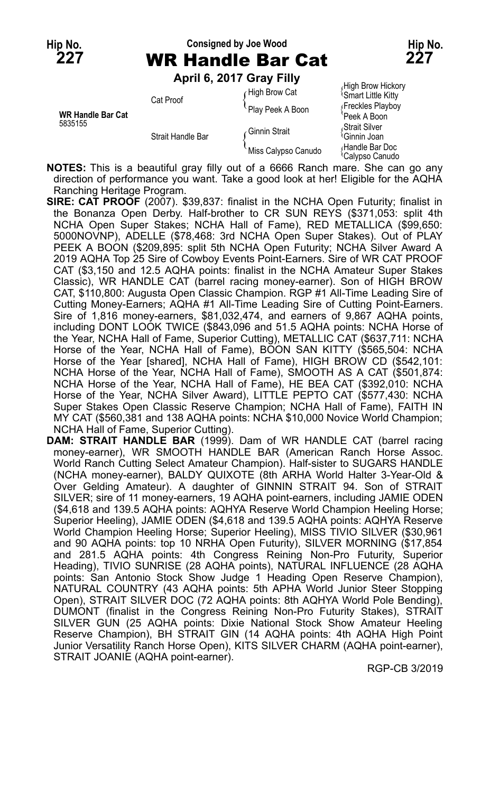## **Hip No. Consigned by Joe Wood Hip No. 227** WR Handle Bar Cat **227**

**April 6, 2017 Gray Filly**

|                                     | ADIII 0, ZU I / UI AV FIIIV | High Brow Hickory   |                                                            |
|-------------------------------------|-----------------------------|---------------------|------------------------------------------------------------|
|                                     | Cat Proof                   | High Brow Cat       | <sup>1</sup> Smart Little Kitty                            |
|                                     |                             | Play Peek A Boon    | Freckles Playboy                                           |
| <b>WR Handle Bar Cat</b><br>5835155 | Strait Handle Bar           | ∠Ginnin Strait      | 'Peek A Boon<br>Strait Silver،<br><sup>1</sup> Ginnin Joan |
|                                     |                             | Miss Calypso Canudo | Handle Bar Doc<br><sup>t</sup> Calypso Canudo              |

**NOTES:** This is a beautiful gray filly out of a 6666 Ranch mare. She can go any direction of performance you want. Take a good look at her! Eligible for the AQHA Ranching Heritage Program.

**SIRE: CAT PROOF** (2007). \$39,837: finalist in the NCHA Open Futurity; finalist in the Bonanza Open Derby. Half-brother to CR SUN REYS (\$371,053: split 4th NCHA Open Super Stakes; NCHA Hall of Fame), RED METALLICA (\$99,650: 5000NOVNP), ADELLE (\$78,468: 3rd NCHA Open Super Stakes). Out of PLAY PEEK A BOON (\$209,895: split 5th NCHA Open Futurity; NCHA Silver Award A 2019 AQHA Top 25 Sire of Cowboy Events Point-Earners. Sire of WR CAT PROOF CAT (\$3,150 and 12.5 AQHA points: finalist in the NCHA Amateur Super Stakes Classic), WR HANDLE CAT (barrel racing money-earner). Son of HIGH BROW CAT, \$110,800: Augusta Open Classic Champion. RGP #1 All-Time Leading Sire of Cutting Money-Earners; AQHA #1 All-Time Leading Sire of Cutting Point-Earners. Sire of 1,816 money-earners, \$81,032,474, and earners of 9,867 AQHA points, including DONT LOOK TWICE (\$843,096 and 51.5 AQHA points: NCHA Horse of the Year, NCHA Hall of Fame, Superior Cutting), METALLIC CAT (\$637,711: NCHA Horse of the Year, NCHA Hall of Fame), BOON SAN KITTY (\$565,504: NCHA Horse of the Year [shared], NCHA Hall of Fame), HIGH BROW CD (\$542,101: NCHA Horse of the Year, NCHA Hall of Fame), SMOOTH AS A CAT (\$501,874: NCHA Horse of the Year, NCHA Hall of Fame), HE BEA CAT (\$392,010: NCHA Horse of the Year, NCHA Silver Award), LITTLE PEPTO CAT (\$577,430: NCHA Super Stakes Open Classic Reserve Champion; NCHA Hall of Fame), FAITH IN MY CAT (\$560,381 and 138 AQHA points: NCHA \$10,000 Novice World Champion; NCHA Hall of Fame, Superior Cutting).

**DAM: STRAIT HANDLE BAR** (1999). Dam of WR HANDLE CAT (barrel racing money-earner), WR SMOOTH HANDLE BAR (American Ranch Horse Assoc. World Ranch Cutting Select Amateur Champion). Half-sister to SUGARS HANDLE (NCHA money-earner), BALDY QUIXOTE (8th ARHA World Halter 3-Year-Old & Over Gelding Amateur). A daughter of GINNIN STRAIT 94. Son of STRAIT SILVER; sire of 11 money-earners, 19 AQHA point-earners, including JAMIE ODEN (\$4,618 and 139.5 AQHA points: AQHYA Reserve World Champion Heeling Horse; Superior Heeling), JAMIE ODEN (\$4,618 and 139.5 AQHA points: AQHYA Reserve World Champion Heeling Horse; Superior Heeling), MISS TIVIO SILVER (\$30,961 and 90 AQHA points: top 10 NRHA Open Futurity), SILVER MORNING (\$17,854 and 281.5 AQHA points: 4th Congress Reining Non-Pro Futurity, Superior Heading), TIVIO SUNRISE (28 AQHA points), NATURAL INFLUENCE (28 AQHA points: San Antonio Stock Show Judge 1 Heading Open Reserve Champion), NATURAL COUNTRY (43 AQHA points: 5th APHA World Junior Steer Stopping Open), STRAIT SILVER DOC (72 AQHA points: 8th AQHYA World Pole Bending), DUMONT (finalist in the Congress Reining Non-Pro Futurity Stakes), STRAIT SILVER GUN (25 AQHA points: Dixie National Stock Show Amateur Heeling Reserve Champion), BH STRAIT GIN (14 AQHA points: 4th AQHA High Point Junior Versatility Ranch Horse Open), KITS SILVER CHARM (AQHA point-earner), STRAIT JOANIE (AQHA point-earner).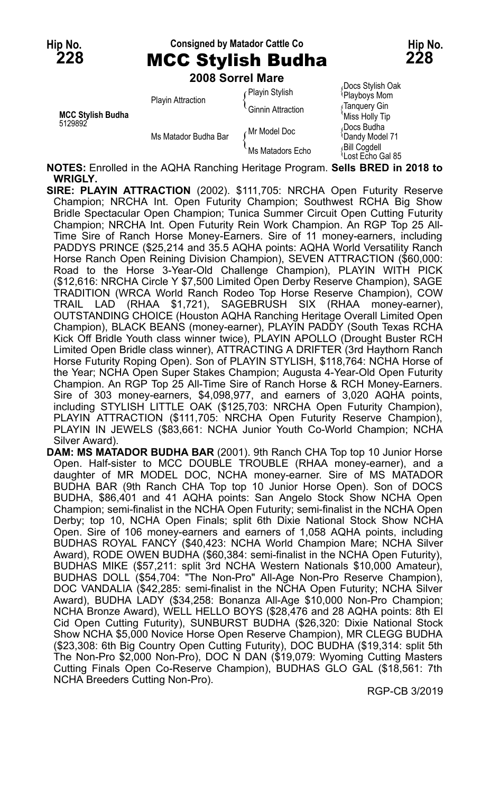Hip No. **Consigned by Matador Cattle Co Hip No. Hip No. 228** MCC Stylish Budha **228**

|                                     |                          | 2008 Sorrel Mare         |                                               |
|-------------------------------------|--------------------------|--------------------------|-----------------------------------------------|
|                                     |                          | Playin Stylish           | Docs Stylish Oak<br>Playboys Mom              |
| <b>MCC Stylish Budha</b><br>5129892 | <b>Playin Attraction</b> | <b>Ginnin Attraction</b> | ∫Tanquery Gin<br>'Miss Holly Tip              |
|                                     | Ms Matador Budha Bar     | Mr Model Doc             | Docs Budha<br><b>Dandy Model 71</b>           |
|                                     |                          | Ms Matadors Echo         | Bill Cogdell<br><sup>i</sup> Lost Ečho Gal 85 |

**NOTES:** Enrolled in the AQHA Ranching Heritage Program. **Sells BRED in 2018 to WRIGLY.**

- **SIRE: PLAYIN ATTRACTION** (2002). \$111,705: NRCHA Open Futurity Reserve Champion; NRCHA Int. Open Futurity Champion; Southwest RCHA Big Show Bridle Spectacular Open Champion; Tunica Summer Circuit Open Cutting Futurity Champion; NRCHA Int. Open Futurity Rein Work Champion. An RGP Top 25 All-Time Sire of Ranch Horse Money-Earners. Sire of 11 money-earners, including PADDYS PRINCE (\$25,214 and 35.5 AQHA points: AQHA World Versatility Ranch Horse Ranch Open Reining Division Champion), SEVEN ATTRACTION (\$60,000: Road to the Horse 3-Year-Old Challenge Champion), PLAYIN WITH PICK (\$12,616: NRCHA Circle Y \$7,500 Limited Open Derby Reserve Champion), SAGE TRADITION (WRCA World Ranch Rodeo Top Horse Reserve Champion), COW TRAIL LAD (RHAA \$1,721), SAGEBRUSH SIX (RHAA money-earner), OUTSTANDING CHOICE (Houston AQHA Ranching Heritage Overall Limited Open Champion), BLACK BEANS (money-earner), PLAYIN PADDY (South Texas RCHA Kick Off Bridle Youth class winner twice), PLAYIN APOLLO (Drought Buster RCH Limited Open Bridle class winner), ATTRACTING A DRIFTER (3rd Haythorn Ranch Horse Futurity Roping Open). Son of PLAYIN STYLISH, \$118,764: NCHA Horse of the Year; NCHA Open Super Stakes Champion; Augusta 4-Year-Old Open Futurity Champion. An RGP Top 25 All-Time Sire of Ranch Horse & RCH Money-Earners. Sire of 303 money-earners, \$4,098,977, and earners of 3,020 AQHA points, including STYLISH LITTLE OAK (\$125,703: NRCHA Open Futurity Champion), PLAYIN ATTRACTION (\$111,705: NRCHA Open Futurity Reserve Champion), PLAYIN IN JEWELS (\$83,661: NCHA Junior Youth Co-World Champion; NCHA Silver Award).
- **DAM: MS MATADOR BUDHA BAR** (2001). 9th Ranch CHA Top top 10 Junior Horse Open. Half-sister to MCC DOUBLE TROUBLE (RHAA money-earner), and a daughter of MR MODEL DOC, NCHA money-earner. Sire of MS MATADOR BUDHA BAR (9th Ranch CHA Top top 10 Junior Horse Open). Son of DOCS BUDHA, \$86,401 and 41 AQHA points: San Angelo Stock Show NCHA Open Champion; semi-finalist in the NCHA Open Futurity; semi-finalist in the NCHA Open Derby; top 10, NCHA Open Finals; split 6th Dixie National Stock Show NCHA Open. Sire of 106 money-earners and earners of 1,058 AQHA points, including BUDHAS ROYAL FANCY (\$40,423: NCHA World Champion Mare; NCHA Silver Award), RODE OWEN BUDHA (\$60,384: semi-finalist in the NCHA Open Futurity), BUDHAS MIKE (\$57,211: split 3rd NCHA Western Nationals \$10,000 Amateur), BUDHAS DOLL (\$54,704: "The Non-Pro" All-Age Non-Pro Reserve Champion), DOC VANDALIA (\$42,285: semi-finalist in the NCHA Open Futurity; NCHA Silver Award), BUDHA LADY (\$34,258: Bonanza All-Age \$10,000 Non-Pro Champion; NCHA Bronze Award), WELL HELLO BOYS (\$28,476 and 28 AQHA points: 8th El Cid Open Cutting Futurity), SUNBURST BUDHA (\$26,320: Dixie National Stock Show NCHA \$5,000 Novice Horse Open Reserve Champion), MR CLEGG BUDHA (\$23,308: 6th Big Country Open Cutting Futurity), DOC BUDHA (\$19,314: split 5th The Non-Pro \$2,000 Non-Pro), DOC N DAN (\$19,079: Wyoming Cutting Masters Cutting Finals Open Co-Reserve Champion), BUDHAS GLO GAL (\$18,561: 7th NCHA Breeders Cutting Non-Pro).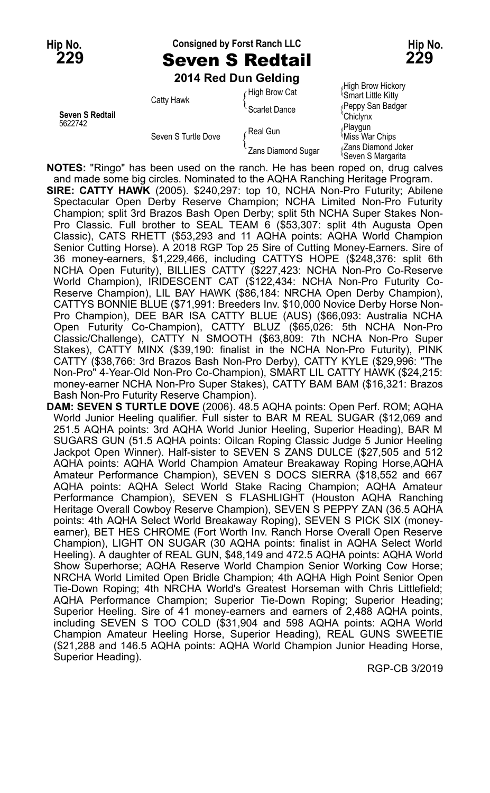## **Hip No. Consigned by Forst Ranch LLC Hip No. 229** Seven S Redtail **229**

**2014 Red Dun Gelding**

|                            | <b>ZUTA REA DUIT OBIGING</b>      |                                 |                                                      |
|----------------------------|-----------------------------------|---------------------------------|------------------------------------------------------|
| Seven S Redtail<br>5622742 | Catty Hawk<br>Seven S Turtle Dove | High Brow Cat                   | High Brow Hickory<br><sup>1</sup> Smart Little Kitty |
|                            |                                   | Scarlet Dance                   | Peppy San Badger<br>'Chiclynx                        |
|                            |                                   | Real Gun                        | Playgun<br>Miss War Chips                            |
|                            |                                   | <sup>1</sup> Zans Diamond Sugar | Zans Diamond Joker<br><sup>t</sup> Seven S Marɑarita |

**NOTES:** "Ringo" has been used on the ranch. He has been roped on, drug calves and made some big circles. Nominated to the AQHA Ranching Heritage Program.

**SIRE: CATTY HAWK** (2005). \$240,297: top 10, NCHA Non-Pro Futurity; Abilene Spectacular Open Derby Reserve Champion; NCHA Limited Non-Pro Futurity Champion; split 3rd Brazos Bash Open Derby; split 5th NCHA Super Stakes Non-Pro Classic. Full brother to SEAL TEAM 6 (\$53,307: split 4th Augusta Open Classic), CATS RHETT (\$53,293 and 11 AQHA points: AQHA World Champion Senior Cutting Horse). A 2018 RGP Top 25 Sire of Cutting Money-Earners. Sire of 36 money-earners, \$1,229,466, including CATTYS HOPE (\$248,376: split 6th NCHA Open Futurity), BILLIES CATTY (\$227,423: NCHA Non-Pro Co-Reserve World Champion), IRIDESCENT CAT (\$122,434: NCHA Non-Pro Futurity Co-Reserve Champion), LIL BAY HAWK (\$86,184: NRCHA Open Derby Champion), CATTYS BONNIE BLUE (\$71,991: Breeders Inv. \$10,000 Novice Derby Horse Non-Pro Champion), DEE BAR ISA CATTY BLUE (AUS) (\$66,093: Australia NCHA Open Futurity Co-Champion), CATTY BLUZ (\$65,026: 5th NCHA Non-Pro Classic/Challenge), CATTY N SMOOTH (\$63,809: 7th NCHA Non-Pro Super Stakes), CATTY MINX (\$39,190: finalist in the NCHA Non-Pro Futurity), PINK CATTY (\$38,766: 3rd Brazos Bash Non-Pro Derby), CATTY KYLE (\$29,996: "The Non-Pro" 4-Year-Old Non-Pro Co-Champion), SMART LIL CATTY HAWK (\$24,215: money-earner NCHA Non-Pro Super Stakes), CATTY BAM BAM (\$16,321: Brazos Bash Non-Pro Futurity Reserve Champion).

**DAM: SEVEN S TURTLE DOVE** (2006). 48.5 AQHA points: Open Perf. ROM; AQHA World Junior Heeling qualifier. Full sister to BAR M REAL SUGAR (\$12,069 and 251.5 AQHA points: 3rd AQHA World Junior Heeling, Superior Heading), BAR M SUGARS GUN (51.5 AQHA points: Oilcan Roping Classic Judge 5 Junior Heeling Jackpot Open Winner). Half-sister to SEVEN S ZANS DULCE (\$27,505 and 512 AQHA points: AQHA World Champion Amateur Breakaway Roping Horse,AQHA Amateur Performance Champion), SEVEN S DOCS SIERRA (\$18,552 and 667 AQHA points: AQHA Select World Stake Racing Champion; AQHA Amateur Performance Champion), SEVEN S FLASHLIGHT (Houston AQHA Ranching Heritage Overall Cowboy Reserve Champion), SEVEN S PEPPY ZAN (36.5 AQHA points: 4th AQHA Select World Breakaway Roping), SEVEN S PICK SIX (moneyearner), BET HES CHROME (Fort Worth Inv. Ranch Horse Overall Open Reserve Champion), LIGHT ON SUGAR (30 AQHA points: finalist in AQHA Select World Heeling). A daughter of REAL GUN, \$48,149 and 472.5 AQHA points: AQHA World Show Superhorse; AQHA Reserve World Champion Senior Working Cow Horse; NRCHA World Limited Open Bridle Champion; 4th AQHA High Point Senior Open Tie-Down Roping; 4th NRCHA World's Greatest Horseman with Chris Littlefield; AQHA Performance Champion; Superior Tie-Down Roping; Superior Heading; Superior Heeling. Sire of 41 money-earners and earners of 2,488 AQHA points, including SEVEN S TOO COLD (\$31,904 and 598 AQHA points: AQHA World Champion Amateur Heeling Horse, Superior Heading), REAL GUNS SWEETIE (\$21,288 and 146.5 AQHA points: AQHA World Champion Junior Heading Horse, Superior Heading).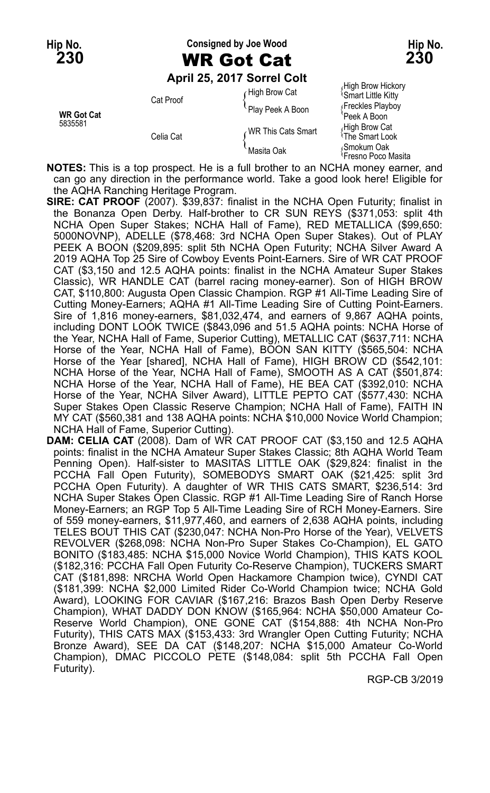#### **Hip No. Consigned by Joe Wood Hip No. 230** WR Got Cat **230**

#### **April 25, 2017 Sorrel Colt**

|                              |                        | ADIII ZO, ZU IT JUITEL CUIT |                                                           |
|------------------------------|------------------------|-----------------------------|-----------------------------------------------------------|
| <b>WR Got Cat</b><br>5835581 | Cat Proof<br>Celia Cat | High Brow Cat               | High Brow Hickory<br><b>Smart Little Kitty</b>            |
|                              |                        | Play Peek A Boon            | Freckles Playboy<br>'Peek A Boon                          |
|                              |                        | WR This Cats Smart          | High Brow Cat<br><sup>≀</sup> The Smart Look              |
|                              |                        | Masita Oak                  | <sub></sub> Smokum Oak<br><sup>1</sup> Fresno Poco Masita |

**NOTES:** This is a top prospect. He is a full brother to an NCHA money earner, and can go any direction in the performance world. Take a good look here! Eligible for the AQHA Ranching Heritage Program.

- **SIRE: CAT PROOF** (2007). \$39,837: finalist in the NCHA Open Futurity; finalist in the Bonanza Open Derby. Half-brother to CR SUN REYS (\$371,053: split 4th NCHA Open Super Stakes; NCHA Hall of Fame), RED METALLICA (\$99,650: 5000NOVNP), ADELLE (\$78,468: 3rd NCHA Open Super Stakes). Out of PLAY PEEK A BOON (\$209,895: split 5th NCHA Open Futurity; NCHA Silver Award A 2019 AQHA Top 25 Sire of Cowboy Events Point-Earners. Sire of WR CAT PROOF CAT (\$3,150 and 12.5 AQHA points: finalist in the NCHA Amateur Super Stakes Classic), WR HANDLE CAT (barrel racing money-earner). Son of HIGH BROW CAT, \$110,800: Augusta Open Classic Champion. RGP #1 All-Time Leading Sire of Cutting Money-Earners; AQHA #1 All-Time Leading Sire of Cutting Point-Earners. Sire of 1,816 money-earners, \$81,032,474, and earners of 9,867 AQHA points, including DONT LOOK TWICE (\$843,096 and 51.5 AQHA points: NCHA Horse of the Year, NCHA Hall of Fame, Superior Cutting), METALLIC CAT (\$637,711: NCHA Horse of the Year, NCHA Hall of Fame), BOON SAN KITTY (\$565,504: NCHA Horse of the Year [shared], NCHA Hall of Fame), HIGH BROW CD (\$542,101: NCHA Horse of the Year, NCHA Hall of Fame), SMOOTH AS A CAT (\$501,874: NCHA Horse of the Year, NCHA Hall of Fame), HE BEA CAT (\$392,010: NCHA Horse of the Year, NCHA Silver Award), LITTLE PEPTO CAT (\$577,430: NCHA Super Stakes Open Classic Reserve Champion; NCHA Hall of Fame), FAITH IN MY CAT (\$560,381 and 138 AQHA points: NCHA \$10,000 Novice World Champion; NCHA Hall of Fame, Superior Cutting).
- **DAM: CELIA CAT** (2008). Dam of WR CAT PROOF CAT (\$3,150 and 12.5 AQHA points: finalist in the NCHA Amateur Super Stakes Classic; 8th AQHA World Team Penning Open). Half-sister to MASITAS LITTLE OAK (\$29,824: finalist in the PCCHA Fall Open Futurity), SOMEBODYS SMART OAK (\$21,425: split 3rd PCCHA Open Futurity). A daughter of WR THIS CATS SMART, \$236,514: 3rd NCHA Super Stakes Open Classic. RGP #1 All-Time Leading Sire of Ranch Horse Money-Earners; an RGP Top 5 All-Time Leading Sire of RCH Money-Earners. Sire of 559 money-earners, \$11,977,460, and earners of 2,638 AQHA points, including TELES BOUT THIS CAT (\$230,047: NCHA Non-Pro Horse of the Year), VELVETS REVOLVER (\$268,098: NCHA Non-Pro Super Stakes Co-Champion), EL GATO BONITO (\$183,485: NCHA \$15,000 Novice World Champion), THIS KATS KOOL (\$182,316: PCCHA Fall Open Futurity Co-Reserve Champion), TUCKERS SMART CAT (\$181,898: NRCHA World Open Hackamore Champion twice), CYNDI CAT (\$181,399: NCHA \$2,000 Limited Rider Co-World Champion twice; NCHA Gold Award), LOOKING FOR CAVIAR (\$167,216: Brazos Bash Open Derby Reserve Champion), WHAT DADDY DON KNOW (\$165,964: NCHA \$50,000 Amateur Co-Reserve World Champion), ONE GONE CAT (\$154,888: 4th NCHA Non-Pro Futurity), THIS CATS MAX (\$153,433: 3rd Wrangler Open Cutting Futurity; NCHA Bronze Award), SEE DA CAT (\$148,207: NCHA \$15,000 Amateur Co-World Champion), DMAC PICCOLO PETE (\$148,084: split 5th PCCHA Fall Open Futurity).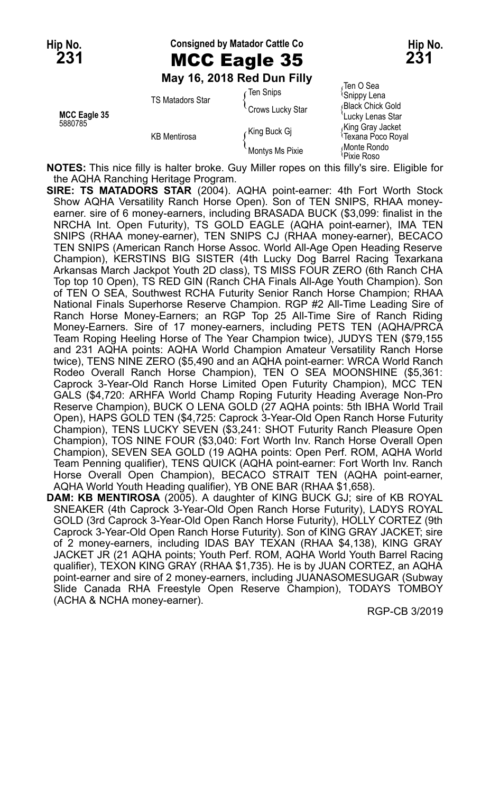### Hip No. **Consigned by Matador Cattle Co Hip No. Hip No. 231** MCC Eagle 35 **231**

#### **May 16, 2018 Red Dun Filly**

|                         | <b>MAY 10, ZUTO REU DUIL FIIIV</b>             |                              |                                       |
|-------------------------|------------------------------------------------|------------------------------|---------------------------------------|
| MCC Eagle 35<br>5880785 | <b>TS Matadors Star</b><br><b>KB</b> Mentirosa | ∈Ten Snips                   | Ten O Sea<br><sup>{</sup> Snippy Lena |
|                         |                                                | <sup>C</sup> rows Lucky Star | Black Chick Gold<br>Lucky Lenas Star  |
|                         |                                                | King Buck Gi                 | King Gray Jacket<br>Texana Poco Royal |
|                         |                                                | Montys Ms Pixie              | Monte Rondo<br>Pixie Roso             |

**NOTES:** This nice filly is halter broke. Guy Miller ropes on this filly's sire. Eligible for the AQHA Ranching Heritage Program.

- **SIRE: TS MATADORS STAR** (2004). AQHA point-earner: 4th Fort Worth Stock Show AQHA Versatility Ranch Horse Open). Son of TEN SNIPS, RHAA moneyearner. sire of 6 money-earners, including BRASADA BUCK (\$3,099: finalist in the NRCHA Int. Open Futurity), TS GOLD EAGLE (AQHA point-earner), IMA TEN SNIPS (RHAA money-earner), TEN SNIPS CJ (RHAA money-earner), BECACO TEN SNIPS (American Ranch Horse Assoc. World All-Age Open Heading Reserve Champion), KERSTINS BIG SISTER (4th Lucky Dog Barrel Racing Texarkana Arkansas March Jackpot Youth 2D class), TS MISS FOUR ZERO (6th Ranch CHA Top top 10 Open), TS RED GIN (Ranch CHA Finals All-Age Youth Champion). Son of TEN O SEA, Southwest RCHA Futurity Senior Ranch Horse Champion; RHAA National Finals Superhorse Reserve Champion. RGP #2 All-Time Leading Sire of Ranch Horse Money-Earners; an RGP Top 25 All-Time Sire of Ranch Riding Money-Earners. Sire of 17 money-earners, including PETS TEN (AQHA/PRCA Team Roping Heeling Horse of The Year Champion twice), JUDYS TEN (\$79,155 and 231 AQHA points: AQHA World Champion Amateur Versatility Ranch Horse twice), TENS NINE ZERO (\$5,490 and an AQHA point-earner: WRCA World Ranch Rodeo Overall Ranch Horse Champion), TEN O SEA MOONSHINE (\$5,361: Caprock 3-Year-Old Ranch Horse Limited Open Futurity Champion), MCC TEN GALS (\$4,720: ARHFA World Champ Roping Futurity Heading Average Non-Pro Reserve Champion), BUCK O LENA GOLD (27 AQHA points: 5th IBHA World Trail Open), HAPS GOLD TEN (\$4,725: Caprock 3-Year-Old Open Ranch Horse Futurity Champion), TENS LUCKY SEVEN (\$3,241: SHOT Futurity Ranch Pleasure Open Champion), TOS NINE FOUR (\$3,040: Fort Worth Inv. Ranch Horse Overall Open Champion), SEVEN SEA GOLD (19 AQHA points: Open Perf. ROM, AQHA World Team Penning qualifier), TENS QUICK (AQHA point-earner: Fort Worth Inv. Ranch Horse Overall Open Champion), BECACO STRAIT TEN (AQHA point-earner, AQHA World Youth Heading qualifier), YB ONE BAR (RHAA \$1,658).
- **DAM: KB MENTIROSA** (2005). A daughter of KING BUCK GJ; sire of KB ROYAL SNEAKER (4th Caprock 3-Year-Old Open Ranch Horse Futurity), LADYS ROYAL GOLD (3rd Caprock 3-Year-Old Open Ranch Horse Futurity), HOLLY CORTEZ (9th Caprock 3-Year-Old Open Ranch Horse Futurity). Son of KING GRAY JACKET; sire of 2 money-earners, including IDAS BAY TEXAN (RHAA \$4,138), KING GRAY JACKET JR (21 AQHA points; Youth Perf. ROM, AQHA World Youth Barrel Racing qualifier), TEXON KING GRAY (RHAA \$1,735). He is by JUAN CORTEZ, an AQHA point-earner and sire of 2 money-earners, including JUANASOMESUGAR (Subway Slide Canada RHA Freestyle Open Reserve Champion), TODAYS TOMBOY (ACHA & NCHA money-earner).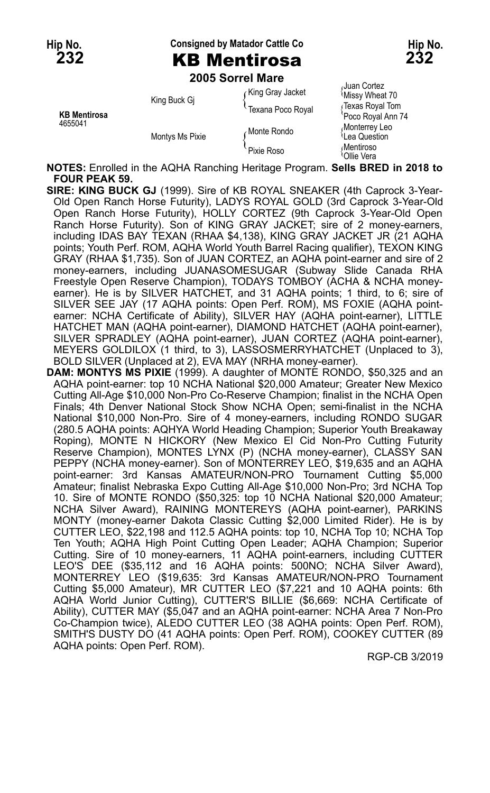Hip No. **Consigned by Matador Cattle Co Hip No. Hip No.** 

## **2005 Sorrel Mare**

|                                |                 |                   | Juan Cortez                                |
|--------------------------------|-----------------|-------------------|--------------------------------------------|
| <b>KB Mentirosa</b><br>4655041 | King Buck Gi    | King Gray Jacket  | Missy Wheat 70                             |
|                                |                 | Texana Poco Royal | Texas Royal Tom<br>Poco Royal Ann 74       |
|                                | Montys Ms Pixie | Monte Rondo       | Monterrey Leo<br><sup>l</sup> Lea Question |
|                                |                 | Pixie Roso        | Mentiroso،<br>\Ollie Vera                  |

**NOTES:** Enrolled in the AQHA Ranching Heritage Program. **Sells BRED in 2018 to FOUR PEAK 59.**

- **SIRE: KING BUCK GJ** (1999). Sire of KB ROYAL SNEAKER (4th Caprock 3-Year-Old Open Ranch Horse Futurity), LADYS ROYAL GOLD (3rd Caprock 3-Year-Old Open Ranch Horse Futurity), HOLLY CORTEZ (9th Caprock 3-Year-Old Open Ranch Horse Futurity). Son of KING GRAY JACKET; sire of 2 money-earners, including IDAS BAY TEXAN (RHAA \$4,138), KING GRAY JACKET JR (21 AQHA points; Youth Perf. ROM, AQHA World Youth Barrel Racing qualifier), TEXON KING GRAY (RHAA \$1,735). Son of JUAN CORTEZ, an AQHA point-earner and sire of 2 money-earners, including JUANASOMESUGAR (Subway Slide Canada RHA Freestyle Open Reserve Champion), TODAYS TOMBOY (ACHA & NCHA moneyearner). He is by SILVER HATCHET, and 31 AQHA points; 1 third, to 6: sire of SILVER SEE JAY (17 AQHA points: Open Perf. ROM), MS FOXIE (AQHA pointearner: NCHA Certificate of Ability), SILVER HAY (AQHA point-earner), LITTLE HATCHET MAN (AQHA point-earner), DIAMOND HATCHET (AQHA point-earner), SILVER SPRADLEY (AQHA point-earner), JUAN CORTEZ (AQHA point-earner), MEYERS GOLDILOX (1 third, to 3), LASSOSMERRYHATCHET (Unplaced to 3), BOLD SILVER (Unplaced at 2), EVA MAY (NRHA money-earner).
- **DAM: MONTYS MS PIXIE** (1999). A daughter of MONTE RONDO, \$50,325 and an AQHA point-earner: top 10 NCHA National \$20,000 Amateur; Greater New Mexico Cutting All-Age \$10,000 Non-Pro Co-Reserve Champion; finalist in the NCHA Open Finals; 4th Denver National Stock Show NCHA Open; semi-finalist in the NCHA National \$10,000 Non-Pro. Sire of 4 money-earners, including RONDO SUGAR (280.5 AQHA points: AQHYA World Heading Champion; Superior Youth Breakaway Roping), MONTE N HICKORY (New Mexico El Cid Non-Pro Cutting Futurity Reserve Champion), MONTES LYNX (P) (NCHA money-earner), CLASSY SAN PEPPY (NCHA money-earner). Son of MONTERREY LEO, \$19,635 and an AQHA point-earner: 3rd Kansas AMATEUR/NON-PRO Tournament Cutting \$5,000 Amateur; finalist Nebraska Expo Cutting All-Age \$10,000 Non-Pro; 3rd NCHA Top 10. Sire of MONTE RONDO (\$50,325: top 10 NCHA National \$20,000 Amateur; NCHA Silver Award), RAINING MONTEREYS (AQHA point-earner), PARKINS MONTY (money-earner Dakota Classic Cutting \$2,000 Limited Rider). He is by CUTTER LEO, \$22,198 and 112.5 AQHA points: top 10, NCHA Top 10; NCHA Top Ten Youth; AQHA High Point Cutting Open Leader; AQHA Champion; Superior Cutting. Sire of 10 money-earners, 11 AQHA point-earners, including CUTTER LEO'S DEE (\$35,112 and 16 AQHA points: 500NO; NCHA Silver Award), MONTERREY LEO (\$19,635: 3rd Kansas AMATEUR/NON-PRO Tournament Cutting \$5,000 Amateur), MR CUTTER LEO (\$7,221 and 10 AQHA points: 6th AQHA World Junior Cutting), CUTTER'S BILLIE (\$6,669: NCHA Certificate of Ability), CUTTER MAY (\$5,047 and an AQHA point-earner: NCHA Area 7 Non-Pro Co-Champion twice), ALEDO CUTTER LEO (38 AQHA points: Open Perf. ROM), SMITH'S DUSTY DO (41 AQHA points: Open Perf. ROM), COOKEY CUTTER (89 AQHA points: Open Perf. ROM).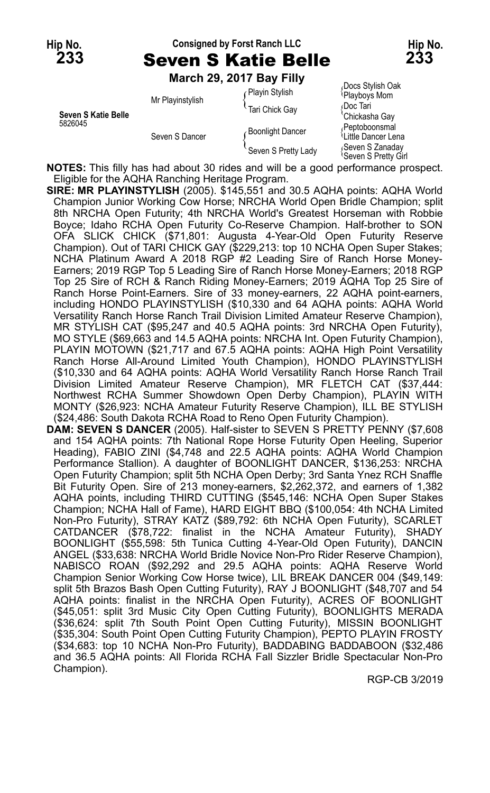#### **Hip No. Consigned by Forst Ranch LLC Hip No. 233** Seven S Katie Belle **233**

**March 29, 2017 Bay Filly**

|                                |                  | March 29, 2017 Bay Filly |                                                     |
|--------------------------------|------------------|--------------------------|-----------------------------------------------------|
|                                | Mr Playinstylish | Playin Stylish           | Docs Stylish Oak<br>Playboys Mom                    |
| Seven S Katie Belle<br>5826045 |                  | Tari Chick Gay           | ≀Doc Tari<br>Chickasha Gay                          |
|                                | Seven S Dancer   | <b>Boonlight Dancer</b>  | Peptoboonsmal<br><sup>1</sup> Little Dancer Lena    |
|                                |                  | Seven S Pretty Lady      | Seven S Zanaday<br><sup>≀</sup> Seven S Pretty Girl |

**NOTES:** This filly has had about 30 rides and will be a good performance prospect. Eligible for the AQHA Ranching Heritage Program.

**SIRE: MR PLAYINSTYLISH** (2005). \$145,551 and 30.5 AQHA points: AQHA World Champion Junior Working Cow Horse; NRCHA World Open Bridle Champion; split 8th NRCHA Open Futurity; 4th NRCHA World's Greatest Horseman with Robbie Boyce; Idaho RCHA Open Futurity Co-Reserve Champion. Half-brother to SON OFA SLICK CHICK (\$71,801: Augusta 4-Year-Old Open Futurity Reserve Champion). Out of TARI CHICK GAY (\$229,213: top 10 NCHA Open Super Stakes; NCHA Platinum Award A 2018 RGP #2 Leading Sire of Ranch Horse Money-Earners; 2019 RGP Top 5 Leading Sire of Ranch Horse Money-Earners; 2018 RGP Top 25 Sire of RCH & Ranch Riding Money-Earners; 2019 AQHA Top 25 Sire of Ranch Horse Point-Earners. Sire of 33 money-earners, 22 AQHA point-earners, including HONDO PLAYINSTYLISH (\$10,330 and 64 AQHA points: AQHA World Versatility Ranch Horse Ranch Trail Division Limited Amateur Reserve Champion), MR STYLISH CAT (\$95,247 and 40.5 AQHA points: 3rd NRCHA Open Futurity), MO STYLE (\$69,663 and 14.5 AQHA points: NRCHA Int. Open Futurity Champion), PLAYIN MOTOWN (\$21,717 and 67.5 AQHA points: AQHA High Point Versatility Ranch Horse All-Around Limited Youth Champion), HONDO PLAYINSTYLISH (\$10,330 and 64 AQHA points: AQHA World Versatility Ranch Horse Ranch Trail Division Limited Amateur Reserve Champion), MR FLETCH CAT (\$37,444: Northwest RCHA Summer Showdown Open Derby Champion), PLAYIN WITH MONTY (\$26,923: NCHA Amateur Futurity Reserve Champion), ILL BE STYLISH (\$24,486: South Dakota RCHA Road to Reno Open Futurity Champion).

**DAM: SEVEN S DANCER** (2005). Half-sister to SEVEN S PRETTY PENNY (\$7,608 and 154 AQHA points: 7th National Rope Horse Futurity Open Heeling, Superior Heading), FABIO ZINI (\$4,748 and 22.5 AQHA points: AQHA World Champion Performance Stallion). A daughter of BOONLIGHT DANCER, \$136,253: NRCHA Open Futurity Champion; split 5th NCHA Open Derby; 3rd Santa Ynez RCH Snaffle Bit Futurity Open. Sire of 213 money-earners, \$2,262,372, and earners of 1,382 AQHA points, including THIRD CUTTING (\$545,146: NCHA Open Super Stakes Champion; NCHA Hall of Fame), HARD EIGHT BBQ (\$100,054: 4th NCHA Limited Non-Pro Futurity), STRAY KATZ (\$89,792: 6th NCHA Open Futurity), SCARLET CATDANCER (\$78,722: finalist in the NCHA Amateur Futurity), SHADY BOONLIGHT (\$55,598: 5th Tunica Cutting 4-Year-Old Open Futurity), DANCIN ANGEL (\$33,638: NRCHA World Bridle Novice Non-Pro Rider Reserve Champion), NABISCO ROAN (\$92,292 and 29.5 AQHA points: AQHA Reserve World Champion Senior Working Cow Horse twice), LIL BREAK DANCER 004 (\$49,149: split 5th Brazos Bash Open Cutting Futurity), RAY J BOONLIGHT (\$48,707 and 54 AQHA points: finalist in the NRCHA Open Futurity), ACRES OF BOONLIGHT (\$45,051: split 3rd Music City Open Cutting Futurity), BOONLIGHTS MERADA (\$36,624: split 7th South Point Open Cutting Futurity), MISSIN BOONLIGHT (\$35,304: South Point Open Cutting Futurity Champion), PEPTO PLAYIN FROSTY (\$34,683: top 10 NCHA Non-Pro Futurity), BADDABING BADDABOON (\$32,486 and 36.5 AQHA points: All Florida RCHA Fall Sizzler Bridle Spectacular Non-Pro Champion).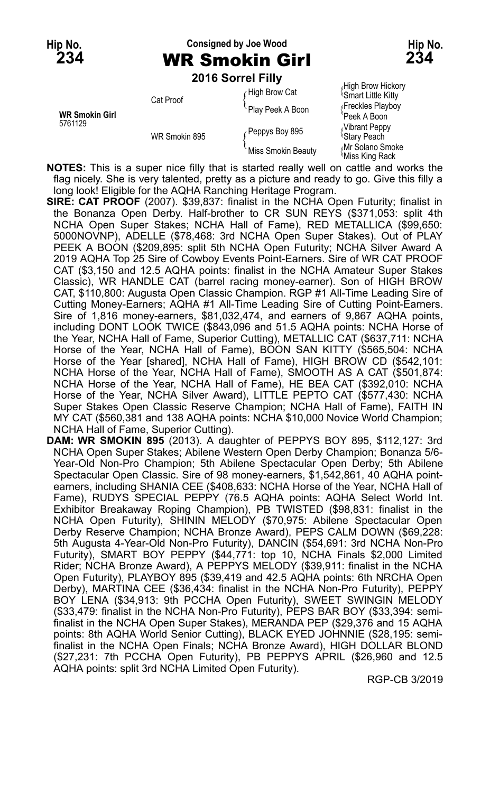## **Hip No. Consigned by Joe Wood Hip No. 234** WR Smokin Girl **234**

**2016 Sorrel Filly**

| <b>WR Smokin Girl</b><br>5761129 | Cat Proof     | High Brow Cat      | High Brow Hickory<br><sup>1</sup> Smart Little Kitty |
|----------------------------------|---------------|--------------------|------------------------------------------------------|
|                                  |               | Play Peek A Boon   | Freckles Playboy<br>Peek A Boon                      |
|                                  | WR Smokin 895 | Peppys Boy 895     | Vibrant Peppy<br><sup>l</sup> Stary Peach            |
|                                  |               | Miss Smokin Beauty | Mr Solano Smoke<br>Miss King Rack                    |

**Note that is a super nice filly that is started really well on cattle and works the NOTES: This is a super nice filly that is started really well on cattle and works the** flag nicely. She is very talented, pretty as a picture and ready to go. Give this filly a long look! Eligible for the AQHA Ranching Heritage Program.

- **SIRE: CAT PROOF** (2007). \$39,837: finalist in the NCHA Open Futurity; finalist in the Bonanza Open Derby. Half-brother to CR SUN REYS (\$371,053: split 4th NCHA Open Super Stakes; NCHA Hall of Fame), RED METALLICA (\$99,650: 5000NOVNP), ADELLE (\$78,468: 3rd NCHA Open Super Stakes). Out of PLAY PEEK A BOON (\$209,895: split 5th NCHA Open Futurity; NCHA Silver Award A 2019 AQHA Top 25 Sire of Cowboy Events Point-Earners. Sire of WR CAT PROOF CAT (\$3,150 and 12.5 AQHA points: finalist in the NCHA Amateur Super Stakes Classic), WR HANDLE CAT (barrel racing money-earner). Son of HIGH BROW CAT, \$110,800: Augusta Open Classic Champion. RGP #1 All-Time Leading Sire of Cutting Money-Earners; AQHA #1 All-Time Leading Sire of Cutting Point-Earners. Sire of 1,816 money-earners, \$81,032,474, and earners of 9,867 AQHA points, including DONT LOOK TWICE (\$843,096 and 51.5 AQHA points: NCHA Horse of the Year, NCHA Hall of Fame, Superior Cutting), METALLIC CAT (\$637,711: NCHA Horse of the Year, NCHA Hall of Fame), BOON SAN KITTY (\$565,504: NCHA Horse of the Year [shared], NCHA Hall of Fame), HIGH BROW CD (\$542,101: NCHA Horse of the Year, NCHA Hall of Fame), SMOOTH AS A CAT (\$501,874: NCHA Horse of the Year, NCHA Hall of Fame), HE BEA CAT (\$392,010: NCHA Horse of the Year, NCHA Silver Award), LITTLE PEPTO CAT (\$577,430: NCHA Super Stakes Open Classic Reserve Champion; NCHA Hall of Fame), FAITH IN MY CAT (\$560,381 and 138 AQHA points: NCHA \$10,000 Novice World Champion; NCHA Hall of Fame, Superior Cutting).
- **DAM: WR SMOKIN 895** (2013). A daughter of PEPPYS BOY 895, \$112,127: 3rd NCHA Open Super Stakes; Abilene Western Open Derby Champion; Bonanza 5/6- Year-Old Non-Pro Champion; 5th Abilene Spectacular Open Derby; 5th Abilene Spectacular Open Classic. Sire of 98 money-earners, \$1,542,861, 40 AQHA pointearners, including SHANIA CEE (\$408,633: NCHA Horse of the Year, NCHA Hall of Fame), RUDYS SPECIAL PEPPY (76.5 AQHA points: AQHA Select World Int. Exhibitor Breakaway Roping Champion), PB TWISTED (\$98,831: finalist in the NCHA Open Futurity), SHININ MELODY (\$70,975: Abilene Spectacular Open Derby Reserve Champion; NCHA Bronze Award), PEPS CALM DOWN (\$69,228: 5th Augusta 4-Year-Old Non-Pro Futurity), DANCIN (\$54,691: 3rd NCHA Non-Pro Futurity), SMART BOY PEPPY (\$44,771: top 10, NCHA Finals \$2,000 Limited Rider; NCHA Bronze Award), A PEPPYS MELODY (\$39,911: finalist in the NCHA Open Futurity), PLAYBOY 895 (\$39,419 and 42.5 AQHA points: 6th NRCHA Open Derby), MARTINA CEE (\$36,434: finalist in the NCHA Non-Pro Futurity), PEPPY BOY LENA (\$34,913: 9th PCCHA Open Futurity), SWEET SWINGIN MELODY (\$33,479: finalist in the NCHA Non-Pro Futurity), PEPS BAR BOY (\$33,394: semifinalist in the NCHA Open Super Stakes), MERANDA PEP (\$29,376 and 15 AQHA points: 8th AQHA World Senior Cutting), BLACK EYED JOHNNIE (\$28,195: semifinalist in the NCHA Open Finals; NCHA Bronze Award), HIGH DOLLAR BLOND (\$27,231: 7th PCCHA Open Futurity), PB PEPPYS APRIL (\$26,960 and 12.5 AQHA points: split 3rd NCHA Limited Open Futurity).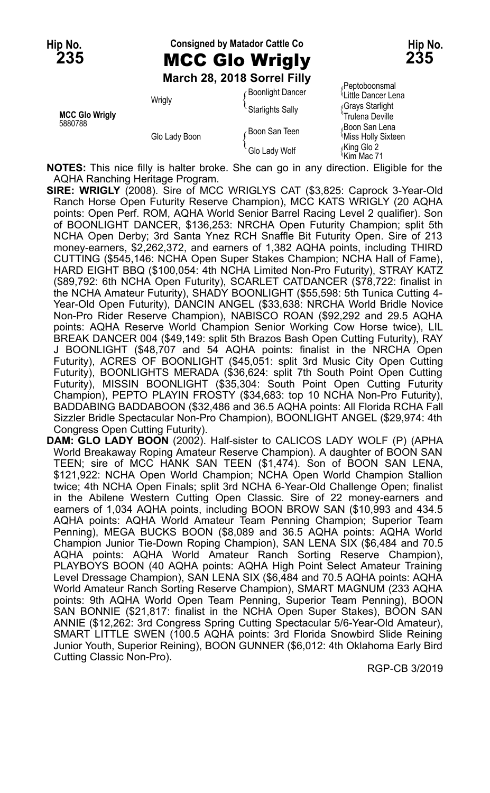# Hip No. **Consigned by Matador Cattle Co Hip No. Hip No. 235** MCC Glo Wrigly **235**

**March 28, 2018 Sorrel Filly**

Peptoboonsmal<br>Boonlight Dancer {Little Dancer Lena Wrigly **Music Community Community Clittle Dancer Lena**<br>MCC Glo Wrigly **MCC Glo Wrigly**<br>Trulena Deville Trulena Deville 5880788 Boon San Teen { Boon San Teen { Boon San Lena { Boon San Lena { Record 3 Glo Lady Boon San Lena { King Glo 2 Glo Lady Boon San Lena { King Glo 2 Glo Lady Boon San Lena } { So Lady Wolf { King Glo 2 Glo Lady Wolf }

 $\mathrm{^4}$ Kim Mac 71

**NOTES:** This nice filly is halter broke. She can go in any direction. Eligible for the AQHA Ranching Heritage Program.

**SIRE: WRIGLY** (2008). Sire of MCC WRIGLYS CAT (\$3,825: Caprock 3-Year-Old Ranch Horse Open Futurity Reserve Champion), MCC KATS WRIGLY (20 AQHA points: Open Perf. ROM, AQHA World Senior Barrel Racing Level 2 qualifier). Son of BOONLIGHT DANCER, \$136,253: NRCHA Open Futurity Champion; split 5th NCHA Open Derby; 3rd Santa Ynez RCH Snaffle Bit Futurity Open. Sire of 213 money-earners, \$2,262,372, and earners of 1,382 AQHA points, including THIRD CUTTING (\$545,146: NCHA Open Super Stakes Champion; NCHA Hall of Fame), HARD EIGHT BBQ (\$100,054: 4th NCHA Limited Non-Pro Futurity), STRAY KATZ (\$89,792: 6th NCHA Open Futurity), SCARLET CATDANCER (\$78,722: finalist in the NCHA Amateur Futurity), SHADY BOONLIGHT (\$55,598: 5th Tunica Cutting 4- Year-Old Open Futurity), DANCIN ANGEL (\$33,638: NRCHA World Bridle Novice Non-Pro Rider Reserve Champion), NABISCO ROAN (\$92,292 and 29.5 AQHA points: AQHA Reserve World Champion Senior Working Cow Horse twice), LIL BREAK DANCER 004 (\$49,149: split 5th Brazos Bash Open Cutting Futurity), RAY J BOONLIGHT (\$48,707 and 54 AQHA points: finalist in the NRCHA Open Futurity), ACRES OF BOONLIGHT (\$45,051: split 3rd Music City Open Cutting Futurity), BOONLIGHTS MERADA (\$36,624: split 7th South Point Open Cutting Futurity), MISSIN BOONLIGHT (\$35,304: South Point Open Cutting Futurity Champion), PEPTO PLAYIN FROSTY (\$34,683: top 10 NCHA Non-Pro Futurity), BADDABING BADDABOON (\$32,486 and 36.5 AQHA points: All Florida RCHA Fall Sizzler Bridle Spectacular Non-Pro Champion), BOONLIGHT ANGEL (\$29,974: 4th Congress Open Cutting Futurity).

**DAM: GLO LADY BOON** (2002). Half-sister to CALICOS LADY WOLF (P) (APHA World Breakaway Roping Amateur Reserve Champion). A daughter of BOON SAN TEEN; sire of MCC HANK SAN TEEN (\$1,474). Son of BOON SAN LENA, \$121,922: NCHA Open World Champion; NCHA Open World Champion Stallion twice; 4th NCHA Open Finals; split 3rd NCHA 6-Year-Old Challenge Open; finalist in the Abilene Western Cutting Open Classic. Sire of 22 money-earners and earners of 1,034 AQHA points, including BOON BROW SAN (\$10,993 and 434.5 AQHA points: AQHA World Amateur Team Penning Champion; Superior Team Penning), MEGA BUCKS BOON (\$8,089 and 36.5 AQHA points: AQHA World Champion Junior Tie-Down Roping Champion), SAN LENA SIX (\$6,484 and 70.5 AQHA points: AQHA World Amateur Ranch Sorting Reserve Champion), PLAYBOYS BOON (40 AQHA points: AQHA High Point Select Amateur Training Level Dressage Champion), SAN LENA SIX (\$6,484 and 70.5 AQHA points: AQHA World Amateur Ranch Sorting Reserve Champion), SMART MAGNUM (233 AQHA points: 9th AQHA World Open Team Penning, Superior Team Penning), BOON SAN BONNIE (\$21,817: finalist in the NCHA Open Super Stakes), BOON SAN ANNIE (\$12,262: 3rd Congress Spring Cutting Spectacular 5/6-Year-Old Amateur), SMART LITTLE SWEN (100.5 AQHA points: 3rd Florida Snowbird Slide Reining Junior Youth, Superior Reining), BOON GUNNER (\$6,012: 4th Oklahoma Early Bird Cutting Classic Non-Pro).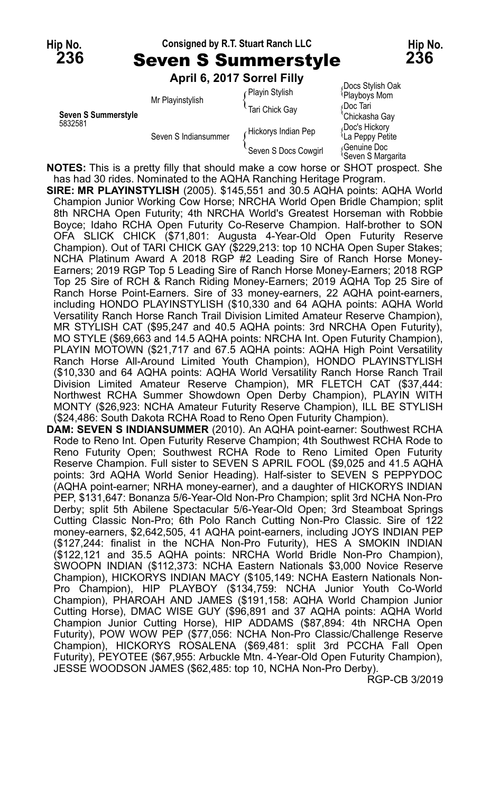#### **Hip No. Consigned by R.T. Stuart Ranch LLC Hip No.**

**236** Seven S Summerstyle **236**

**April 6, 2017 Sorrel Filly**

|                                | ANIII VILUTI JULIUI IIIV |                      |                                               |
|--------------------------------|--------------------------|----------------------|-----------------------------------------------|
| Seven S Summerstyle<br>5832581 | Mr Playinstylish         | Playin Stylish       | Docs Stylish Oak<br>Playboys Mom              |
|                                |                          | `Tari Chick Gav      | Doc Tari<br>'Chickasha Gay                    |
|                                | Seven S Indiansummer     | Hickorys Indian Pep  | Doc's Hickory<br><sup>l</sup> La Peppy Petite |
|                                |                          | Seven S Docs Cowgirl | Genuine Doc<br><sup>l</sup> Seven S Margarita |

**NOTES:** This is a pretty filly that should make a cow horse or SHOT prospect. She has had 30 rides. Nominated to the AQHA Ranching Heritage Program.

**SIRE: MR PLAYINSTYLISH** (2005). \$145,551 and 30.5 AQHA points: AQHA World Champion Junior Working Cow Horse; NRCHA World Open Bridle Champion; split 8th NRCHA Open Futurity; 4th NRCHA World's Greatest Horseman with Robbie Boyce; Idaho RCHA Open Futurity Co-Reserve Champion. Half-brother to SON OFA SLICK CHICK (\$71,801: Augusta 4-Year-Old Open Futurity Reserve Champion). Out of TARI CHICK GAY (\$229,213: top 10 NCHA Open Super Stakes; NCHA Platinum Award A 2018 RGP #2 Leading Sire of Ranch Horse Money-Earners; 2019 RGP Top 5 Leading Sire of Ranch Horse Money-Earners; 2018 RGP Top 25 Sire of RCH & Ranch Riding Money-Earners; 2019 AQHA Top 25 Sire of Ranch Horse Point-Earners. Sire of 33 money-earners, 22 AQHA point-earners, including HONDO PLAYINSTYLISH (\$10,330 and 64 AQHA points: AQHA World Versatility Ranch Horse Ranch Trail Division Limited Amateur Reserve Champion), MR STYLISH CAT (\$95,247 and 40.5 AQHA points: 3rd NRCHA Open Futurity), MO STYLE (\$69,663 and 14.5 AQHA points: NRCHA Int. Open Futurity Champion), PLAYIN MOTOWN (\$21,717 and 67.5 AQHA points: AQHA High Point Versatility Ranch Horse All-Around Limited Youth Champion), HONDO PLAYINSTYLISH (\$10,330 and 64 AQHA points: AQHA World Versatility Ranch Horse Ranch Trail Division Limited Amateur Reserve Champion), MR FLETCH CAT (\$37,444: Northwest RCHA Summer Showdown Open Derby Champion), PLAYIN WITH MONTY (\$26,923: NCHA Amateur Futurity Reserve Champion), ILL BE STYLISH (\$24,486: South Dakota RCHA Road to Reno Open Futurity Champion).

**DAM: SEVEN S INDIANSUMMER** (2010). An AQHA point-earner: Southwest RCHA Rode to Reno Int. Open Futurity Reserve Champion; 4th Southwest RCHA Rode to Reno Futurity Open; Southwest RCHA Rode to Reno Limited Open Futurity Reserve Champion. Full sister to SEVEN S APRIL FOOL (\$9,025 and 41.5 AQHA points: 3rd AQHA World Senior Heading). Half-sister to SEVEN S PEPPYDOC (AQHA point-earner; NRHA money-earner), and a daughter of HICKORYS INDIAN PEP, \$131,647: Bonanza 5/6-Year-Old Non-Pro Champion; split 3rd NCHA Non-Pro Derby; split 5th Abilene Spectacular 5/6-Year-Old Open; 3rd Steamboat Springs Cutting Classic Non-Pro; 6th Polo Ranch Cutting Non-Pro Classic. Sire of 122 money-earners, \$2,642,505, 41 AQHA point-earners, including JOYS INDIAN PEP (\$127,244: finalist in the NCHA Non-Pro Futurity), HES A SMOKIN INDIAN (\$122,121 and 35.5 AQHA points: NRCHA World Bridle Non-Pro Champion), SWOOPN INDIAN (\$112,373: NCHA Eastern Nationals \$3,000 Novice Reserve Champion), HICKORYS INDIAN MACY (\$105,149: NCHA Eastern Nationals Non-Pro Champion), HIP PLAYBOY (\$134,759: NCHA Junior Youth Co-World Champion), PHAROAH AND JAMES (\$191,158: AQHA World Champion Junior Cutting Horse), DMAC WISE GUY (\$96,891 and 37 AQHA points: AQHA World Champion Junior Cutting Horse), HIP ADDAMS (\$87,894: 4th NRCHA Open Futurity), POW WOW PEP (\$77,056: NCHA Non-Pro Classic/Challenge Reserve Champion), HICKORYS ROSALENA (\$69,481: split 3rd PCCHA Fall Open Futurity), PEYOTEE (\$67,955: Arbuckle Mtn. 4-Year-Old Open Futurity Champion), JESSE WOODSON JAMES (\$62,485: top 10, NCHA Non-Pro Derby).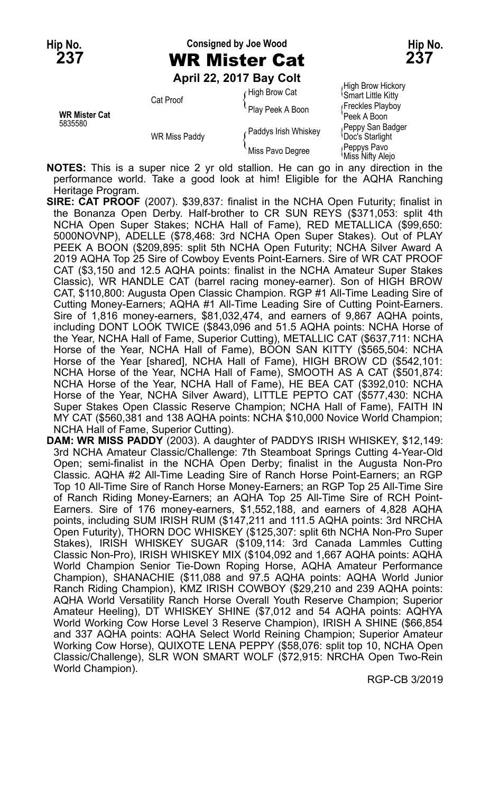# **Hip No. Consigned by Joe Wood Hip No.**

**April 22, 2017 Bay Colt**

 $\int$  High Brow Cat  $\int$ <sup>High</sup> Brow Hickory Smart Little Kitty Cat Proof **Cat Proof Cat Proof Cat Proof Play Peek A Boon** *Play Peek A Boon Play Peek A Boon* 5835580 **Peppy San Badger Paddys Irish Whiskey**<br>
WR Miss Paddy **Paddys Irish Whiskey**<br>
Miss Pavo Degree *(Peppys Pavo Miss Nifty Alejo*<br>
Miss Nifty Alejo

**NOTES:** This is a super nice 2 yr old stallion. He can go in any direction in the performance world. Take a good look at him! Eligible for the AQHA Ranching Heritage Program.

**SIRE: CAT PROOF** (2007). \$39,837: finalist in the NCHA Open Futurity; finalist in the Bonanza Open Derby. Half-brother to CR SUN REYS (\$371,053: split 4th NCHA Open Super Stakes; NCHA Hall of Fame), RED METALLICA (\$99,650: 5000NOVNP), ADELLE (\$78,468: 3rd NCHA Open Super Stakes). Out of PLAY PEEK A BOON (\$209,895: split 5th NCHA Open Futurity; NCHA Silver Award A 2019 AQHA Top 25 Sire of Cowboy Events Point-Earners. Sire of WR CAT PROOF CAT (\$3,150 and 12.5 AQHA points: finalist in the NCHA Amateur Super Stakes Classic), WR HANDLE CAT (barrel racing money-earner). Son of HIGH BROW CAT, \$110,800: Augusta Open Classic Champion. RGP #1 All-Time Leading Sire of Cutting Money-Earners; AQHA #1 All-Time Leading Sire of Cutting Point-Earners. Sire of 1,816 money-earners, \$81,032,474, and earners of 9,867 AQHA points, including DONT LOOK TWICE (\$843,096 and 51.5 AQHA points: NCHA Horse of the Year, NCHA Hall of Fame, Superior Cutting), METALLIC CAT (\$637,711: NCHA Horse of the Year, NCHA Hall of Fame), BOON SAN KITTY (\$565,504: NCHA Horse of the Year [shared], NCHA Hall of Fame), HIGH BROW CD (\$542,101: NCHA Horse of the Year, NCHA Hall of Fame), SMOOTH AS A CAT (\$501,874: NCHA Horse of the Year, NCHA Hall of Fame), HE BEA CAT (\$392,010: NCHA Horse of the Year, NCHA Silver Award), LITTLE PEPTO CAT (\$577,430: NCHA Super Stakes Open Classic Reserve Champion; NCHA Hall of Fame), FAITH IN MY CAT (\$560,381 and 138 AQHA points: NCHA \$10,000 Novice World Champion; NCHA Hall of Fame, Superior Cutting).

**DAM: WR MISS PADDY** (2003). A daughter of PADDYS IRISH WHISKEY, \$12,149: 3rd NCHA Amateur Classic/Challenge: 7th Steamboat Springs Cutting 4-Year-Old Open; semi-finalist in the NCHA Open Derby; finalist in the Augusta Non-Pro Classic. AQHA #2 All-Time Leading Sire of Ranch Horse Point-Earners; an RGP Top 10 All-Time Sire of Ranch Horse Money-Earners; an RGP Top 25 All-Time Sire of Ranch Riding Money-Earners; an AQHA Top 25 All-Time Sire of RCH Point-Earners. Sire of 176 money-earners, \$1,552,188, and earners of 4,828 AQHA points, including SUM IRISH RUM (\$147,211 and 111.5 AQHA points: 3rd NRCHA Open Futurity), THORN DOC WHISKEY (\$125,307: split 6th NCHA Non-Pro Super Stakes), IRISH WHISKEY SUGAR (\$109,114: 3rd Canada Lammles Cutting Classic Non-Pro), IRISH WHISKEY MIX (\$104,092 and 1,667 AQHA points: AQHA World Champion Senior Tie-Down Roping Horse, AQHA Amateur Performance Champion), SHANACHIE (\$11,088 and 97.5 AQHA points: AQHA World Junior Ranch Riding Champion), KMZ IRISH COWBOY (\$29,210 and 239 AQHA points: AQHA World Versatility Ranch Horse Overall Youth Reserve Champion; Superior Amateur Heeling), DT WHISKEY SHINE (\$7,012 and 54 AQHA points: AQHYA World Working Cow Horse Level 3 Reserve Champion), IRISH A SHINE (\$66,854 and 337 AQHA points: AQHA Select World Reining Champion; Superior Amateur Working Cow Horse), QUIXOTE LENA PEPPY (\$58,076: split top 10, NCHA Open Classic/Challenge), SLR WON SMART WOLF (\$72,915: NRCHA Open Two-Rein World Champion).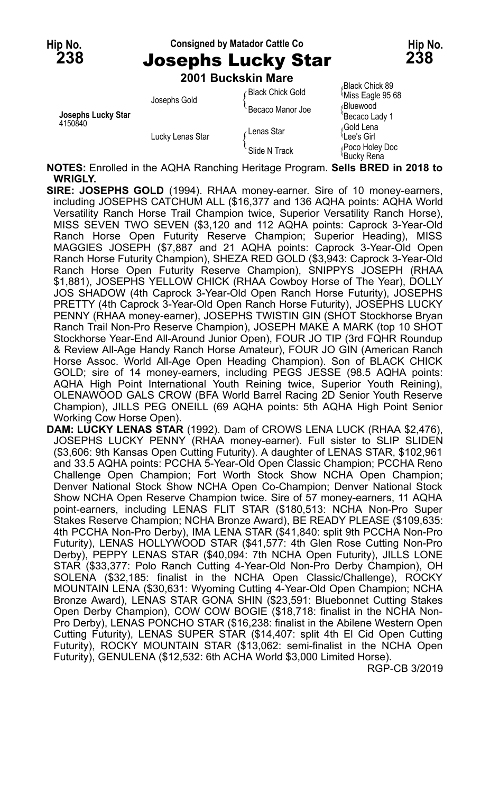#### Hip No. **Consigned by Matador Cattle Co Hip No. Hip No. 238** Josephs Lucky Star **238**

**2001 Buckskin Mare**

| Josephs Lucky Star<br>4150840 | Josephs Gold     | <b>Black Chick Gold</b> | Black Chick 89،<br>Miss Eagle 95 68 |                              |
|-------------------------------|------------------|-------------------------|-------------------------------------|------------------------------|
|                               |                  | Becaco Manor Joe        | ∩Bluewood                           |                              |
|                               | Lucky Lenas Star |                         | 'Becaco Lady 1                      |                              |
|                               |                  | ∤Lenas Star             | ،Gold Lena                          |                              |
|                               |                  |                         | <sup>≀</sup> Lee's Girl             |                              |
|                               |                  |                         | Slide N Track                       | Poco Holey Doc<br>Bucky Rena |
|                               |                  |                         |                                     |                              |

**NOTES:** Enrolled in the AQHA Ranching Heritage Program. **Sells BRED in 2018 to WRIGLY.**

**SIRE: JOSEPHS GOLD** (1994). RHAA money-earner. Sire of 10 money-earners, including JOSEPHS CATCHUM ALL (\$16,377 and 136 AQHA points: AQHA World Versatility Ranch Horse Trail Champion twice, Superior Versatility Ranch Horse), MISS SEVEN TWO SEVEN (\$3,120 and 112 AQHA points: Caprock 3-Year-Old Ranch Horse Open Futurity Reserve Champion; Superior Heading), MISS MAGGIES JOSEPH (\$7,887 and 21 AQHA points: Caprock 3-Year-Old Open Ranch Horse Futurity Champion), SHEZA RED GOLD (\$3,943: Caprock 3-Year-Old Ranch Horse Open Futurity Reserve Champion), SNIPPYS JOSEPH (RHAA \$1,881), JOSEPHS YELLOW CHICK (RHAA Cowboy Horse of The Year), DOLLY JOS SHADOW (4th Caprock 3-Year-Old Open Ranch Horse Futurity), JOSEPHS PRETTY (4th Caprock 3-Year-Old Open Ranch Horse Futurity), JOSEPHS LUCKY PENNY (RHAA money-earner), JOSEPHS TWISTIN GIN (SHOT Stockhorse Bryan Ranch Trail Non-Pro Reserve Champion), JOSEPH MAKE A MARK (top 10 SHOT Stockhorse Year-End All-Around Junior Open), FOUR JO TIP (3rd FQHR Roundup & Review All-Age Handy Ranch Horse Amateur), FOUR JO GIN (American Ranch Horse Assoc. World All-Age Open Heading Champion). Son of BLACK CHICK GOLD; sire of 14 money-earners, including PEGS JESSE (98.5 AQHA points: AQHA High Point International Youth Reining twice, Superior Youth Reining), OLENAWOOD GALS CROW (BFA World Barrel Racing 2D Senior Youth Reserve Champion), JILLS PEG ONEILL (69 AQHA points: 5th AQHA High Point Senior Working Cow Horse Open).

**DAM: LUCKY LENAS STAR** (1992). Dam of CROWS LENA LUCK (RHAA \$2,476), JOSEPHS LUCKY PENNY (RHAA money-earner). Full sister to SLIP SLIDEN (\$3,606: 9th Kansas Open Cutting Futurity). A daughter of LENAS STAR, \$102,961 and 33.5 AQHA points: PCCHA 5-Year-Old Open Classic Champion; PCCHA Reno Challenge Open Champion; Fort Worth Stock Show NCHA Open Champion; Denver National Stock Show NCHA Open Co-Champion; Denver National Stock Show NCHA Open Reserve Champion twice. Sire of 57 money-earners, 11 AQHA point-earners, including LENAS FLIT STAR (\$180,513: NCHA Non-Pro Super Stakes Reserve Champion; NCHA Bronze Award), BE READY PLEASE (\$109,635: 4th PCCHA Non-Pro Derby), IMA LENA STAR (\$41,840: split 9th PCCHA Non-Pro Futurity), LENAS HOLLYWOOD STAR (\$41,577: 4th Glen Rose Cutting Non-Pro Derby), PEPPY LENAS STAR (\$40,094: 7th NCHA Open Futurity), JILLS LONE STAR (\$33,377: Polo Ranch Cutting 4-Year-Old Non-Pro Derby Champion), OH SOLENA (\$32,185: finalist in the NCHA Open Classic/Challenge), ROCKY MOUNTAIN LENA (\$30,631: Wyoming Cutting 4-Year-Old Open Champion; NCHA Bronze Award), LENAS STAR GONA SHIN (\$23,591: Bluebonnet Cutting Stakes Open Derby Champion), COW COW BOGIE (\$18,718: finalist in the NCHA Non-Pro Derby), LENAS PONCHO STAR (\$16,238: finalist in the Abilene Western Open Cutting Futurity), LENAS SUPER STAR (\$14,407: split 4th El Cid Open Cutting Futurity), ROCKY MOUNTAIN STAR (\$13,062: semi-finalist in the NCHA Open Futurity), GENULENA (\$12,532: 6th ACHA World \$3,000 Limited Horse).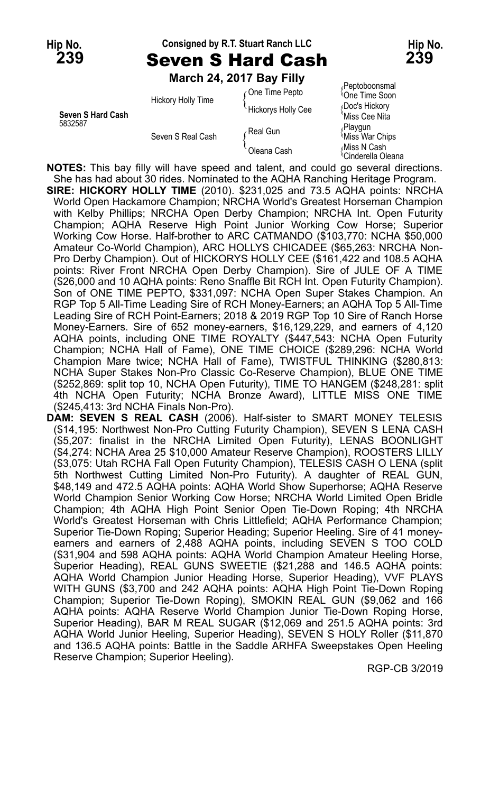#### **Hip No. Consigned by R.T. Stuart Ranch LLC Hip No. 239** Seven S Hard Cash **239**

**March 24, 2017 Bay Filly**

|                              | ---------------------<br>Hickory Holly Time | One Time Pepto<br>Hickorys Holly Cee | Peptoboonsmal<br><sup>1</sup> One Time Soon<br>Doc's Hickory |
|------------------------------|---------------------------------------------|--------------------------------------|--------------------------------------------------------------|
| Seven S Hard Cash<br>5832587 | Seven S Real Cash                           | Real Gun                             | 'Miss Cee Nita<br>Playgun<br>Miss War Chips                  |
|                              |                                             | Oleana Cash                          | Miss N Cash<br><sup>1</sup> Cinderella Olear                 |
|                              |                                             |                                      |                                                              |

**Seven S Hard Cash** Miss Cee Nita Cinderella Oleana

**NOTES:** This bay filly will have speed and talent, and could go several directions. She has had about 30 rides. Nominated to the AQHA Ranching Heritage Program. **SIRE: HICKORY HOLLY TIME** (2010). \$231,025 and 73.5 AQHA points: NRCHA World Open Hackamore Champion; NRCHA World's Greatest Horseman Champion with Kelby Phillips; NRCHA Open Derby Champion; NRCHA Int. Open Futurity Champion; AQHA Reserve High Point Junior Working Cow Horse; Superior Working Cow Horse. Half-brother to ARC CATMANDO (\$103,770: NCHA \$50,000 Amateur Co-World Champion), ARC HOLLYS CHICADEE (\$65,263: NRCHA Non-Pro Derby Champion). Out of HICKORYS HOLLY CEE (\$161,422 and 108.5 AQHA points: River Front NRCHA Open Derby Champion). Sire of JULE OF A TIME (\$26,000 and 10 AQHA points: Reno Snaffle Bit RCH Int. Open Futurity Champion). Son of ONE TIME PEPTO, \$331,097: NCHA Open Super Stakes Champion. An RGP Top 5 All-Time Leading Sire of RCH Money-Earners; an AQHA Top 5 All-Time Leading Sire of RCH Point-Earners; 2018 & 2019 RGP Top 10 Sire of Ranch Horse Money-Earners. Sire of 652 money-earners, \$16,129,229, and earners of 4,120 AQHA points, including ONE TIME ROYALTY (\$447,543: NCHA Open Futurity Champion; NCHA Hall of Fame), ONE TIME CHOICE (\$289,296: NCHA World Champion Mare twice; NCHA Hall of Fame), TWISTFUL THINKING (\$280,813: NCHA Super Stakes Non-Pro Classic Co-Reserve Champion), BLUE ONE TIME (\$252,869: split top 10, NCHA Open Futurity), TIME TO HANGEM (\$248,281: split 4th NCHA Open Futurity; NCHA Bronze Award), LITTLE MISS ONE TIME (\$245,413: 3rd NCHA Finals Non-Pro).

**DAM: SEVEN S REAL CASH** (2006). Half-sister to SMART MONEY TELESIS (\$14,195: Northwest Non-Pro Cutting Futurity Champion), SEVEN S LENA CASH (\$5,207: finalist in the NRCHA Limited Open Futurity), LENAS BOONLIGHT (\$4,274: NCHA Area 25 \$10,000 Amateur Reserve Champion), ROOSTERS LILLY (\$3,075: Utah RCHA Fall Open Futurity Champion), TELESIS CASH O LENA (split 5th Northwest Cutting Limited Non-Pro Futurity). A daughter of REAL GUN, \$48,149 and 472.5 AQHA points: AQHA World Show Superhorse; AQHA Reserve World Champion Senior Working Cow Horse; NRCHA World Limited Open Bridle Champion; 4th AQHA High Point Senior Open Tie-Down Roping; 4th NRCHA World's Greatest Horseman with Chris Littlefield; AQHA Performance Champion; Superior Tie-Down Roping; Superior Heading; Superior Heeling. Sire of 41 moneyearners and earners of 2,488 AQHA points, including SEVEN S TOO COLD (\$31,904 and 598 AQHA points: AQHA World Champion Amateur Heeling Horse, Superior Heading), REAL GUNS SWEETIE (\$21,288 and 146.5 AQHA points: AQHA World Champion Junior Heading Horse, Superior Heading), VVF PLAYS WITH GUNS (\$3,700 and 242 AQHA points: AQHA High Point Tie-Down Roping Champion; Superior Tie-Down Roping), SMOKIN REAL GUN (\$9,062 and 166 AQHA points: AQHA Reserve World Champion Junior Tie-Down Roping Horse, Superior Heading), BAR M REAL SUGAR (\$12,069 and 251.5 AQHA points: 3rd AQHA World Junior Heeling, Superior Heading), SEVEN S HOLY Roller (\$11,870 and 136.5 AQHA points: Battle in the Saddle ARHFA Sweepstakes Open Heeling Reserve Champion; Superior Heeling).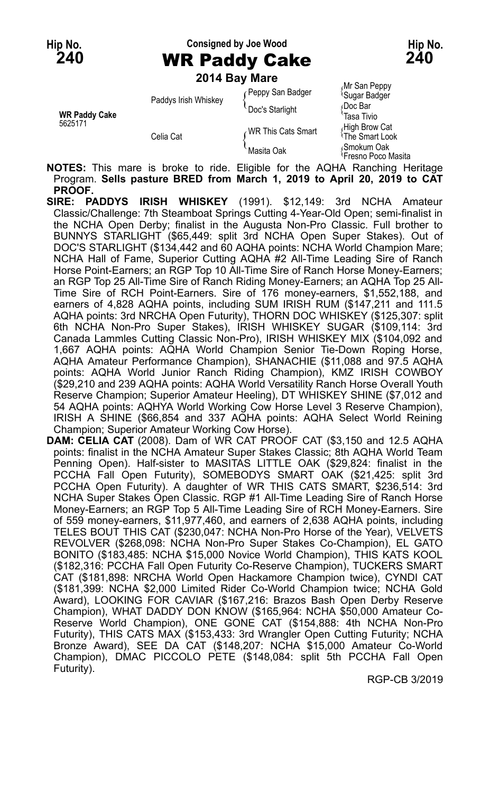**Hip No. Consigned by Joe Wood Hip No. 240** WR Paddy Cake **240**

**2014 Bay Mare**

| <b>WR Paddy Cake</b><br>5625171 | Paddys Irish Whiskey | Peppy San Badger<br>Doc's Starlight | Mr San Peppy<br><sup>l</sup> Sugar Badger<br>≀Doc Bar<br>Tasa Tivio |
|---------------------------------|----------------------|-------------------------------------|---------------------------------------------------------------------|
|                                 | Celia Cat            | WR This Cats Smart                  | High Brow Cat<br><sup>1</sup> The Smart Look                        |
|                                 |                      | Masita Oak                          | <sub>≀</sub> Smokum Oak<br><sup>t</sup> Fresno Poco Masita          |

**NOTES:** This mare is broke to ride. Eligible for the AQHA Ranching Heritage Program. **Sells pasture BRED from March 1, 2019 to April 20, 2019 to CAT PROOF.**

- **SIRE: PADDYS IRISH WHISKEY** (1991). \$12,149: 3rd NCHA Amateur Classic/Challenge: 7th Steamboat Springs Cutting 4-Year-Old Open; semi-finalist in the NCHA Open Derby; finalist in the Augusta Non-Pro Classic. Full brother to BUNNYS STARLIGHT (\$65,449: split 3rd NCHA Open Super Stakes). Out of DOC'S STARLIGHT (\$134,442 and 60 AQHA points: NCHA World Champion Mare; NCHA Hall of Fame, Superior Cutting AQHA #2 All-Time Leading Sire of Ranch Horse Point-Earners; an RGP Top 10 All-Time Sire of Ranch Horse Money-Earners; an RGP Top 25 All-Time Sire of Ranch Riding Money-Earners; an AQHA Top 25 All-Time Sire of RCH Point-Earners. Sire of 176 money-earners, \$1,552,188, and earners of 4,828 AQHA points, including SUM IRISH RUM (\$147,211 and 111.5 AQHA points: 3rd NRCHA Open Futurity), THORN DOC WHISKEY (\$125,307: split 6th NCHA Non-Pro Super Stakes), IRISH WHISKEY SUGAR (\$109,114: 3rd Canada Lammles Cutting Classic Non-Pro), IRISH WHISKEY MIX (\$104,092 and 1,667 AQHA points: AQHA World Champion Senior Tie-Down Roping Horse, AQHA Amateur Performance Champion), SHANACHIE (\$11,088 and 97.5 AQHA points: AQHA World Junior Ranch Riding Champion), KMZ IRISH COWBOY (\$29,210 and 239 AQHA points: AQHA World Versatility Ranch Horse Overall Youth Reserve Champion; Superior Amateur Heeling), DT WHISKEY SHINE (\$7,012 and 54 AQHA points: AQHYA World Working Cow Horse Level 3 Reserve Champion), IRISH A SHINE (\$66,854 and 337 AQHA points: AQHA Select World Reining Champion; Superior Amateur Working Cow Horse).
- **DAM: CELIA CAT** (2008). Dam of WR CAT PROOF CAT (\$3,150 and 12.5 AQHA points: finalist in the NCHA Amateur Super Stakes Classic; 8th AQHA World Team Penning Open). Half-sister to MASITAS LITTLE OAK (\$29,824: finalist in the PCCHA Fall Open Futurity), SOMEBODYS SMART OAK (\$21,425: split 3rd PCCHA Open Futurity). A daughter of WR THIS CATS SMART, \$236,514: 3rd NCHA Super Stakes Open Classic. RGP #1 All-Time Leading Sire of Ranch Horse Money-Earners; an RGP Top 5 All-Time Leading Sire of RCH Money-Earners. Sire of 559 money-earners, \$11,977,460, and earners of 2,638 AQHA points, including TELES BOUT THIS CAT (\$230,047: NCHA Non-Pro Horse of the Year), VELVETS REVOLVER (\$268,098: NCHA Non-Pro Super Stakes Co-Champion), EL GATO BONITO (\$183,485: NCHA \$15,000 Novice World Champion), THIS KATS KOOL (\$182,316: PCCHA Fall Open Futurity Co-Reserve Champion), TUCKERS SMART CAT (\$181,898: NRCHA World Open Hackamore Champion twice), CYNDI CAT (\$181,399: NCHA \$2,000 Limited Rider Co-World Champion twice; NCHA Gold Award), LOOKING FOR CAVIAR (\$167,216: Brazos Bash Open Derby Reserve Champion), WHAT DADDY DON KNOW (\$165,964: NCHA \$50,000 Amateur Co-Reserve World Champion), ONE GONE CAT (\$154,888: 4th NCHA Non-Pro Futurity), THIS CATS MAX (\$153,433: 3rd Wrangler Open Cutting Futurity; NCHA Bronze Award), SEE DA CAT (\$148,207: NCHA \$15,000 Amateur Co-World Champion), DMAC PICCOLO PETE (\$148,084: split 5th PCCHA Fall Open Futurity).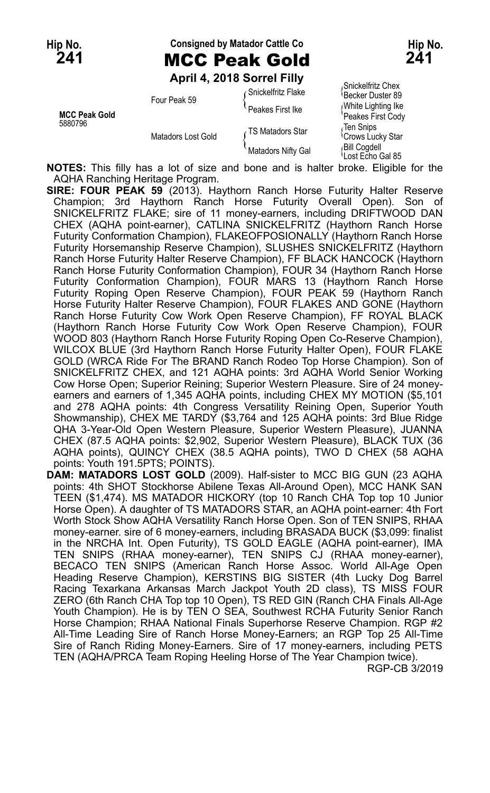## Hip No. **Consigned by Matador Cattle Co Hip No. Hip No. 241** MCC Peak Gold **241**

**April 4, 2018 Sorrel Filly**

|                                 | ANIII 4, ZVIV JULICI I IIIV | Snickelfritz Chex    |                                            |
|---------------------------------|-----------------------------|----------------------|--------------------------------------------|
|                                 | Four Peak 59                | ∠ Snickelfritz Flake | <sup>l</sup> Becker Duster 89              |
| <b>MCC Peak Gold</b><br>5880796 |                             | Peakes First Ike     | White Lighting Ike<br>Peakes First Cody    |
|                                 | Matadors Lost Gold          | TS Matadors Star     | Ten Snips<br><sup>1</sup> Crows Lucky Star |
|                                 |                             | Matadors Nifty Gal   | Bill Cogdell<br>ਪLost Echo Gal 85          |

**NOTES:** This filly has a lot of size and bone and is halter broke. Eligible for the AQHA Ranching Heritage Program.

**SIRE: FOUR PEAK 59** (2013). Haythorn Ranch Horse Futurity Halter Reserve Champion; 3rd Haythorn Ranch Horse Futurity Overall Open). Son of SNICKELFRITZ FLAKE; sire of 11 money-earners, including DRIFTWOOD DAN CHEX (AQHA point-earner), CATLINA SNICKELFRITZ (Haythorn Ranch Horse Futurity Conformation Champion), FLAKEOFPOSIONALLY (Haythorn Ranch Horse Futurity Horsemanship Reserve Champion), SLUSHES SNICKELFRITZ (Haythorn Ranch Horse Futurity Halter Reserve Champion), FF BLACK HANCOCK (Haythorn Ranch Horse Futurity Conformation Champion), FOUR 34 (Haythorn Ranch Horse Futurity Conformation Champion), FOUR MARS 13 (Haythorn Ranch Horse Futurity Roping Open Reserve Champion), FOUR PEAK 59 (Haythorn Ranch Horse Futurity Halter Reserve Champion), FOUR FLAKES AND GONE (Haythorn Ranch Horse Futurity Cow Work Open Reserve Champion), FF ROYAL BLACK (Haythorn Ranch Horse Futurity Cow Work Open Reserve Champion), FOUR WOOD 803 (Haythorn Ranch Horse Futurity Roping Open Co-Reserve Champion), WILCOX BLUE (3rd Haythorn Ranch Horse Futurity Halter Open), FOUR FLAKE GOLD (WRCA Ride For The BRAND Ranch Rodeo Top Horse Champion). Son of SNICKELFRITZ CHEX, and 121 AQHA points: 3rd AQHA World Senior Working Cow Horse Open; Superior Reining; Superior Western Pleasure. Sire of 24 moneyearners and earners of 1,345 AQHA points, including CHEX MY MOTION (\$5,101 and 278 AQHA points: 4th Congress Versatility Reining Open, Superior Youth Showmanship), CHEX ME TARDY (\$3,764 and 125 AQHA points: 3rd Blue Ridge QHA 3-Year-Old Open Western Pleasure, Superior Western Pleasure), JUANNA CHEX (87.5 AQHA points: \$2,902, Superior Western Pleasure), BLACK TUX (36 AQHA points), QUINCY CHEX (38.5 AQHA points), TWO D CHEX (58 AQHA points: Youth 191.5PTS; POINTS).

**DAM: MATADORS LOST GOLD** (2009). Half-sister to MCC BIG GUN (23 AQHA points: 4th SHOT Stockhorse Abilene Texas All-Around Open), MCC HANK SAN TEEN (\$1,474). MS MATADOR HICKORY (top 10 Ranch CHA Top top 10 Junior Horse Open). A daughter of TS MATADORS STAR, an AQHA point-earner: 4th Fort Worth Stock Show AQHA Versatility Ranch Horse Open. Son of TEN SNIPS, RHAA money-earner. sire of 6 money-earners, including BRASADA BUCK (\$3,099: finalist in the NRCHA Int. Open Futurity), TS GOLD EAGLE (AQHA point-earner), IMA TEN SNIPS (RHAA money-earner), TEN SNIPS CJ (RHAA money-earner), BECACO TEN SNIPS (American Ranch Horse Assoc. World All-Age Open Heading Reserve Champion), KERSTINS BIG SISTER (4th Lucky Dog Barrel Racing Texarkana Arkansas March Jackpot Youth 2D class), TS MISS FOUR ZERO (6th Ranch CHA Top top 10 Open), TS RED GIN (Ranch CHA Finals All-Age Youth Champion). He is by TEN O SEA, Southwest RCHA Futurity Senior Ranch Horse Champion; RHAA National Finals Superhorse Reserve Champion. RGP #2 All-Time Leading Sire of Ranch Horse Money-Earners; an RGP Top 25 All-Time Sire of Ranch Riding Money-Earners. Sire of 17 money-earners, including PETS TEN (AQHA/PRCA Team Roping Heeling Horse of The Year Champion twice).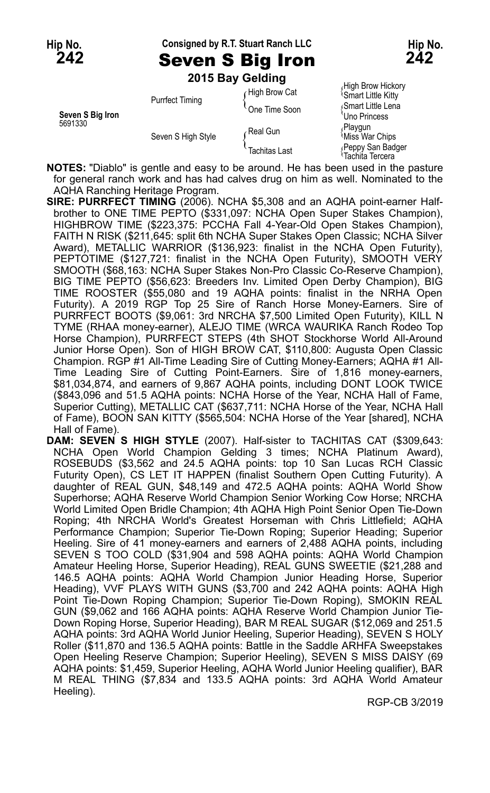**Hip No. Consigned by R.T. Stuart Ranch LLC Hip No. 242** Seven S Big Iron **242**

|                             |                        | 2015 Bay Gelding |                                                      |
|-----------------------------|------------------------|------------------|------------------------------------------------------|
|                             |                        | High Brow Cat    | High Brow Hickory<br><sup>1</sup> Smart Little Kitty |
| Seven S Big Iron<br>5691330 | <b>Purrfect Timing</b> | One Time Soon    | Smart Little Lena<br>Uno Princess                    |
|                             | Seven S High Style     | ∠Real Gun        | Playgun<br>Miss War Chips                            |
|                             |                        | Tachitas Last    | Peppy San Badger<br>Tachita Tercera                  |

**NOTES:** "Diablo" is gentle and easy to be around. He has been used in the pasture for general ranch work and has had calves drug on him as well. Nominated to the AQHA Ranching Heritage Program.

**SIRE: PURRFECT TIMING** (2006). NCHA \$5,308 and an AQHA point-earner Halfbrother to ONE TIME PEPTO (\$331,097: NCHA Open Super Stakes Champion), HIGHBROW TIME (\$223,375: PCCHA Fall 4-Year-Old Open Stakes Champion), FAITH N RISK (\$211,645: split 6th NCHA Super Stakes Open Classic; NCHA Silver Award), METALLIC WARRIOR (\$136,923: finalist in the NCHA Open Futurity), PEPTOTIME (\$127,721: finalist in the NCHA Open Futurity), SMOOTH VERY SMOOTH (\$68,163: NCHA Super Stakes Non-Pro Classic Co-Reserve Champion), BIG TIME PEPTO (\$56,623: Breeders Inv. Limited Open Derby Champion), BIG TIME ROOSTER (\$55,080 and 19 AQHA points: finalist in the NRHA Open Futurity). A 2019 RGP Top 25 Sire of Ranch Horse Money-Earners. Sire of PURRFECT BOOTS (\$9,061: 3rd NRCHA \$7,500 Limited Open Futurity), KILL N TYME (RHAA money-earner), ALEJO TIME (WRCA WAURIKA Ranch Rodeo Top Horse Champion), PURRFECT STEPS (4th SHOT Stockhorse World All-Around Junior Horse Open). Son of HIGH BROW CAT, \$110,800: Augusta Open Classic Champion. RGP #1 All-Time Leading Sire of Cutting Money-Earners; AQHA #1 All-Time Leading Sire of Cutting Point-Earners. Sire of 1,816 money-earners, \$81,034,874, and earners of 9,867 AQHA points, including DONT LOOK TWICE (\$843,096 and 51.5 AQHA points: NCHA Horse of the Year, NCHA Hall of Fame, Superior Cutting), METALLIC CAT (\$637,711: NCHA Horse of the Year, NCHA Hall of Fame), BOON SAN KITTY (\$565,504: NCHA Horse of the Year [shared], NCHA Hall of Fame).

**DAM: SEVEN S HIGH STYLE** (2007). Half-sister to TACHITAS CAT (\$309,643: NCHA Open World Champion Gelding 3 times; NCHA Platinum Award), ROSEBUDS (\$3,562 and 24.5 AQHA points: top 10 San Lucas RCH Classic Futurity Open), CS LET IT HAPPEN (finalist Southern Open Cutting Futurity). A daughter of REAL GUN, \$48,149 and 472.5 AQHA points: AQHA World Show Superhorse; AQHA Reserve World Champion Senior Working Cow Horse; NRCHA World Limited Open Bridle Champion; 4th AQHA High Point Senior Open Tie-Down Roping; 4th NRCHA World's Greatest Horseman with Chris Littlefield; AQHA Performance Champion; Superior Tie-Down Roping; Superior Heading; Superior Heeling. Sire of 41 money-earners and earners of 2,488 AQHA points, including SEVEN S TOO COLD (\$31,904 and 598 AQHA points: AQHA World Champion Amateur Heeling Horse, Superior Heading), REAL GUNS SWEETIE (\$21,288 and 146.5 AQHA points: AQHA World Champion Junior Heading Horse, Superior Heading), VVF PLAYS WITH GUNS (\$3,700 and 242 AQHA points: AQHA High Point Tie-Down Roping Champion; Superior Tie-Down Roping), SMOKIN REAL GUN (\$9,062 and 166 AQHA points: AQHA Reserve World Champion Junior Tie-Down Roping Horse, Superior Heading), BAR M REAL SUGAR (\$12,069 and 251.5 AQHA points: 3rd AQHA World Junior Heeling, Superior Heading), SEVEN S HOLY Roller (\$11,870 and 136.5 AQHA points: Battle in the Saddle ARHFA Sweepstakes Open Heeling Reserve Champion; Superior Heeling), SEVEN S MISS DAISY (69 AQHA points: \$1,459, Superior Heeling, AQHA World Junior Heeling qualifier), BAR M REAL THING (\$7,834 and 133.5 AQHA points: 3rd AQHA World Amateur Heeling).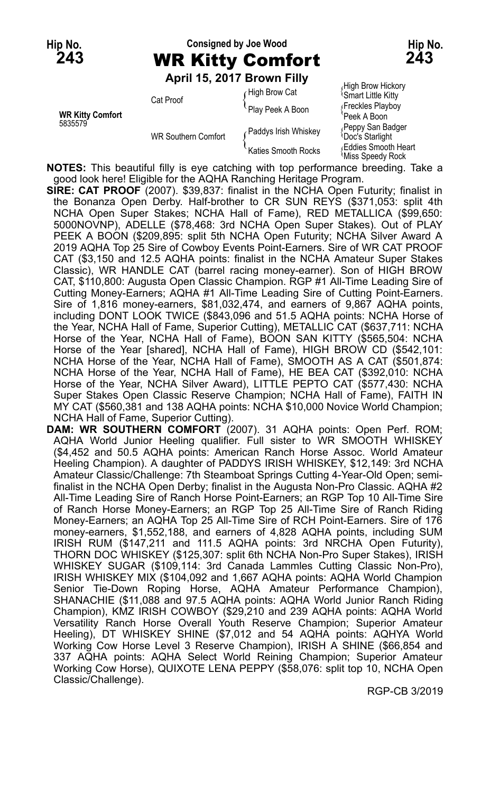# **Hip No. Consigned by Joe Wood Hip No. 243** WR Kitty Comfort **243**

**April 15, 2017 Brown Filly**

|                                    |                            | ADIII 13, ZU IZ DIUWII FIIIV | High Brow Hickory                                     |
|------------------------------------|----------------------------|------------------------------|-------------------------------------------------------|
| <b>WR Kitty Comfort</b><br>5835579 | Cat Proof                  | High Brow Cat                | <b>Smart Little Kitty</b>                             |
|                                    |                            | Play Peek A Boon             | Freckles Playboy<br>Peek A Boon                       |
|                                    | <b>WR Southern Comfort</b> | Paddys Irish Whiskey         | Peppy San Badger<br><b>Doc's Starlight</b>            |
|                                    |                            | Katies Smooth Rocks          | <b>Eddies Smooth Heart</b><br><b>Miss Speedy Rock</b> |

**NOTES:** This beautiful filly is eye catching with top performance breeding. Take a good look here! Eligible for the AQHA Ranching Heritage Program.

**SIRE: CAT PROOF** (2007). \$39,837: finalist in the NCHA Open Futurity; finalist in the Bonanza Open Derby. Half-brother to CR SUN REYS (\$371,053: split 4th NCHA Open Super Stakes; NCHA Hall of Fame), RED METALLICA (\$99,650: 5000NOVNP), ADELLE (\$78,468: 3rd NCHA Open Super Stakes). Out of PLAY PEEK A BOON (\$209,895: split 5th NCHA Open Futurity; NCHA Silver Award A 2019 AQHA Top 25 Sire of Cowboy Events Point-Earners. Sire of WR CAT PROOF CAT (\$3,150 and 12.5 AQHA points: finalist in the NCHA Amateur Super Stakes Classic), WR HANDLE CAT (barrel racing money-earner). Son of HIGH BROW CAT, \$110,800: Augusta Open Classic Champion. RGP #1 All-Time Leading Sire of Cutting Money-Earners; AQHA #1 All-Time Leading Sire of Cutting Point-Earners. Sire of 1,816 money-earners, \$81,032,474, and earners of 9,867 AQHA points, including DONT LOOK TWICE (\$843,096 and 51.5 AQHA points: NCHA Horse of the Year, NCHA Hall of Fame, Superior Cutting), METALLIC CAT (\$637,711: NCHA Horse of the Year, NCHA Hall of Fame), BOON SAN KITTY (\$565,504: NCHA Horse of the Year [shared], NCHA Hall of Fame), HIGH BROW CD (\$542,101: NCHA Horse of the Year, NCHA Hall of Fame), SMOOTH AS A CAT (\$501,874: NCHA Horse of the Year, NCHA Hall of Fame), HE BEA CAT (\$392,010: NCHA Horse of the Year, NCHA Silver Award), LITTLE PEPTO CAT (\$577,430: NCHA Super Stakes Open Classic Reserve Champion; NCHA Hall of Fame), FAITH IN MY CAT (\$560,381 and 138 AQHA points: NCHA \$10,000 Novice World Champion; NCHA Hall of Fame, Superior Cutting).

**DAM: WR SOUTHERN COMFORT** (2007). 31 AQHA points: Open Perf. ROM; AQHA World Junior Heeling qualifier. Full sister to WR SMOOTH WHISKEY (\$4,452 and 50.5 AQHA points: American Ranch Horse Assoc. World Amateur Heeling Champion). A daughter of PADDYS IRISH WHISKEY, \$12,149: 3rd NCHA Amateur Classic/Challenge: 7th Steamboat Springs Cutting 4-Year-Old Open; semifinalist in the NCHA Open Derby; finalist in the Augusta Non-Pro Classic. AQHA #2 All-Time Leading Sire of Ranch Horse Point-Earners; an RGP Top 10 All-Time Sire of Ranch Horse Money-Earners; an RGP Top 25 All-Time Sire of Ranch Riding Money-Earners; an AQHA Top 25 All-Time Sire of RCH Point-Earners. Sire of 176 money-earners, \$1,552,188, and earners of 4,828 AQHA points, including SUM IRISH RUM (\$147,211 and 111.5 AQHA points: 3rd NRCHA Open Futurity), THORN DOC WHISKEY (\$125,307: split 6th NCHA Non-Pro Super Stakes), IRISH WHISKEY SUGAR (\$109,114: 3rd Canada Lammles Cutting Classic Non-Pro), IRISH WHISKEY MIX (\$104,092 and 1,667 AQHA points: AQHA World Champion Senior Tie-Down Roping Horse, AQHA Amateur Performance Champion), SHANACHIE (\$11,088 and 97.5 AQHA points: AQHA World Junior Ranch Riding Champion), KMZ IRISH COWBOY (\$29,210 and 239 AQHA points: AQHA World Versatility Ranch Horse Overall Youth Reserve Champion; Superior Amateur Heeling), DT WHISKEY SHINE (\$7,012 and 54 AQHA points: AQHYA World Working Cow Horse Level 3 Reserve Champion), IRISH A SHINE (\$66,854 and 337 AQHA points: AQHA Select World Reining Champion; Superior Amateur Working Cow Horse), QUIXOTE LENA PEPPY (\$58,076: split top 10, NCHA Open Classic/Challenge).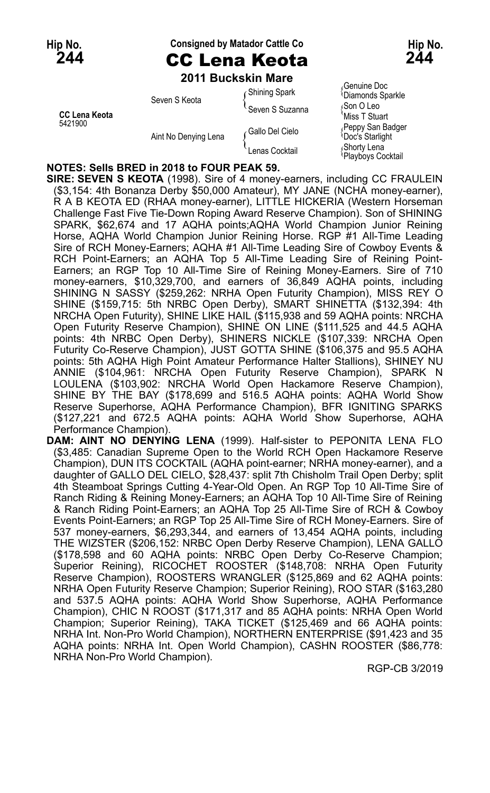# Hip No. **Consigned by Matador Cattle Co Hip No. Hip No.**

**244** CC Lena Keota **244 2011 Buckskin Mare**

|                                 | Seven S Keota        | <b>Shining Spark</b> | Genuine Doc،<br><sup>1</sup> Diamonds Sparkle |
|---------------------------------|----------------------|----------------------|-----------------------------------------------|
| <b>CC Lena Keota</b><br>5421900 |                      | Seven S Suzanna      | Son O Leo<br>Miss T Stuart                    |
|                                 | Aint No Denying Lena | ∕ Gallo Del Cielo    | Peppy San Badger<br><b>Doc's Starlight</b>    |
|                                 |                      | Lenas Cocktail       | Shorty Lena<br>Playboys Cocktail              |

∫Genuine Doc<br><sup>∖</sup>Diamonds Sparkle **Miss T Stuart** <sub>(</sub>Peppy San Badger<br><sup>(</sup>Doc's Starlight Playboys Cocktail

#### **NOTES: Sells BRED in 2018 to FOUR PEAK 59.**

**SIRE: SEVEN S KEOTA** (1998). Sire of 4 money-earners, including CC FRAULEIN (\$3,154: 4th Bonanza Derby \$50,000 Amateur), MY JANE (NCHA money-earner), R A B KEOTA ED (RHAA money-earner), LITTLE HICKERIA (Western Horseman Challenge Fast Five Tie-Down Roping Award Reserve Champion). Son of SHINING SPARK, \$62,674 and 17 AQHA points;AQHA World Champion Junior Reining Horse, AQHA World Champion Junior Reining Horse. RGP #1 All-Time Leading Sire of RCH Money-Earners; AQHA #1 All-Time Leading Sire of Cowboy Events & RCH Point-Earners; an AQHA Top 5 All-Time Leading Sire of Reining Point-Earners; an RGP Top 10 All-Time Sire of Reining Money-Earners. Sire of 710 money-earners, \$10,329,700, and earners of 36,849 AQHA points, including SHINING N SASSY (\$259,262: NRHA Open Futurity Champion), MISS REY O SHINE (\$159,715: 5th NRBC Open Derby), SMART SHINETTA (\$132,394: 4th NRCHA Open Futurity), SHINE LIKE HAIL (\$115,938 and 59 AQHA points: NRCHA Open Futurity Reserve Champion), SHINE ON LINE (\$111,525 and 44.5 AQHA points: 4th NRBC Open Derby), SHINERS NICKLE (\$107,339: NRCHA Open Futurity Co-Reserve Champion), JUST GOTTA SHINE (\$106,375 and 95.5 AQHA points: 5th AQHA High Point Amateur Performance Halter Stallions), SHINEY NU ANNIE (\$104,961: NRCHA Open Futurity Reserve Champion), SPARK N LOULENA (\$103,902: NRCHA World Open Hackamore Reserve Champion), SHINE BY THE BAY (\$178,699 and 516.5 AQHA points: AQHA World Show Reserve Superhorse, AQHA Performance Champion), BFR IGNITING SPARKS (\$127,221 and 672.5 AQHA points: AQHA World Show Superhorse, AQHA Performance Champion).

**DAM: AINT NO DENYING LENA** (1999). Half-sister to PEPONITA LENA FLO (\$3,485: Canadian Supreme Open to the World RCH Open Hackamore Reserve Champion), DUN ITS COCKTAIL (AQHA point-earner; NRHA money-earner), and a daughter of GALLO DEL CIELO, \$28,437: split 7th Chisholm Trail Open Derby; split 4th Steamboat Springs Cutting 4-Year-Old Open. An RGP Top 10 All-Time Sire of Ranch Riding & Reining Money-Earners; an AQHA Top 10 All-Time Sire of Reining & Ranch Riding Point-Earners; an AQHA Top 25 All-Time Sire of RCH & Cowboy Events Point-Earners; an RGP Top 25 All-Time Sire of RCH Money-Earners. Sire of 537 money-earners, \$6,293,344, and earners of 13,454 AQHA points, including THE WIZSTER (\$206,152: NRBC Open Derby Reserve Champion), LENA GALLO (\$178,598 and 60 AQHA points: NRBC Open Derby Co-Reserve Champion; Superior Reining), RICOCHET ROOSTER (\$148,708: NRHA Open Futurity Reserve Champion), ROOSTERS WRANGLER (\$125,869 and 62 AQHA points: NRHA Open Futurity Reserve Champion; Superior Reining), ROO STAR (\$163,280 and 537.5 AQHA points: AQHA World Show Superhorse, AQHA Performance Champion), CHIC N ROOST (\$171,317 and 85 AQHA points: NRHA Open World Champion; Superior Reining), TAKA TICKET (\$125,469 and 66 AQHA points: NRHA Int. Non-Pro World Champion), NORTHERN ENTERPRISE (\$91,423 and 35 AQHA points: NRHA Int. Open World Champion), CASHN ROOSTER (\$86,778: NRHA Non-Pro World Champion).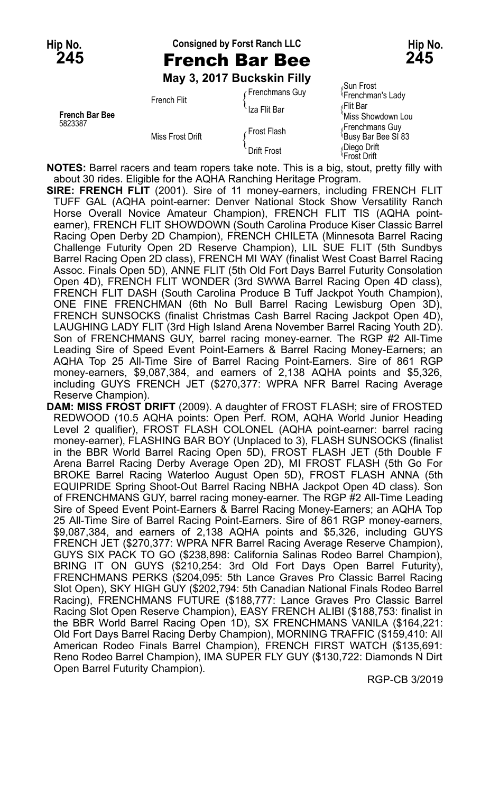### **Hip No. Consigned by Forst Ranch LLC Hip No. 245** French Bar Bee **245**

**May 3, 2017 Buckskin Filly**

| <b>French Bar Bee</b><br>5823387 | French Flit      | Frenchmans Guy<br>Iza Flit Bar | ،Sun Frost<br><sup>{</sup> Frenchman's Lady<br>√Flit Bar<br>Miss Showdown Lou   |
|----------------------------------|------------------|--------------------------------|---------------------------------------------------------------------------------|
|                                  | Miss Frost Drift | ∤Frost Flash<br>Drift Frost    | Frenchmans Guy<br>Busy Bar Bee SI 83<br>Diego Drift<br><sup>I</sup> Frost Drift |

**NOTES:** Barrel racers and team ropers take note. This is a big, stout, pretty filly with about 30 rides. Eligible for the AQHA Ranching Heritage Program.

**SIRE: FRENCH FLIT** (2001). Sire of 11 money-earners, including FRENCH FLIT TUFF GAL (AQHA point-earner: Denver National Stock Show Versatility Ranch Horse Overall Novice Amateur Champion), FRENCH FLIT TIS (AQHA pointearner), FRENCH FLIT SHOWDOWN (South Carolina Produce Kiser Classic Barrel Racing Open Derby 2D Champion), FRENCH CHILETA (Minnesota Barrel Racing Challenge Futurity Open 2D Reserve Champion), LIL SUE FLIT (5th Sundbys Barrel Racing Open 2D class), FRENCH MI WAY (finalist West Coast Barrel Racing Assoc. Finals Open 5D), ANNE FLIT (5th Old Fort Days Barrel Futurity Consolation Open 4D), FRENCH FLIT WONDER (3rd SWWA Barrel Racing Open 4D class), FRENCH FLIT DASH (South Carolina Produce B Tuff Jackpot Youth Champion), ONE FINE FRENCHMAN (6th No Bull Barrel Racing Lewisburg Open 3D), FRENCH SUNSOCKS (finalist Christmas Cash Barrel Racing Jackpot Open 4D), LAUGHING LADY FLIT (3rd High Island Arena November Barrel Racing Youth 2D). Son of FRENCHMANS GUY, barrel racing money-earner. The RGP #2 All-Time Leading Sire of Speed Event Point-Earners & Barrel Racing Money-Earners; an AQHA Top 25 All-Time Sire of Barrel Racing Point-Earners. Sire of 861 RGP money-earners, \$9,087,384, and earners of 2,138 AQHA points and \$5,326, including GUYS FRENCH JET (\$270,377: WPRA NFR Barrel Racing Average Reserve Champion).

**DAM: MISS FROST DRIFT** (2009). A daughter of FROST FLASH; sire of FROSTED REDWOOD (10.5 AQHA points: Open Perf. ROM, AQHA World Junior Heading Level 2 qualifier), FROST FLASH COLONEL (AQHA point-earner: barrel racing money-earner), FLASHING BAR BOY (Unplaced to 3), FLASH SUNSOCKS (finalist in the BBR World Barrel Racing Open 5D), FROST FLASH JET (5th Double F Arena Barrel Racing Derby Average Open 2D), MI FROST FLASH (5th Go For BROKE Barrel Racing Waterloo August Open 5D), FROST FLASH ANNA (5th EQUIPRIDE Spring Shoot-Out Barrel Racing NBHA Jackpot Open 4D class). Son of FRENCHMANS GUY, barrel racing money-earner. The RGP #2 All-Time Leading Sire of Speed Event Point-Earners & Barrel Racing Money-Earners; an AQHA Top 25 All-Time Sire of Barrel Racing Point-Earners. Sire of 861 RGP money-earners, \$9,087,384, and earners of 2,138 AQHA points and \$5,326, including GUYS FRENCH JET (\$270,377: WPRA NFR Barrel Racing Average Reserve Champion), GUYS SIX PACK TO GO (\$238,898: California Salinas Rodeo Barrel Champion), BRING IT ON GUYS (\$210,254: 3rd Old Fort Days Open Barrel Futurity), FRENCHMANS PERKS (\$204,095: 5th Lance Graves Pro Classic Barrel Racing Slot Open), SKY HIGH GUY (\$202,794: 5th Canadian National Finals Rodeo Barrel Racing), FRENCHMANS FUTURE (\$188,777: Lance Graves Pro Classic Barrel Racing Slot Open Reserve Champion), EASY FRENCH ALIBI (\$188,753: finalist in the BBR World Barrel Racing Open 1D), SX FRENCHMANS VANILA (\$164,221: Old Fort Days Barrel Racing Derby Champion), MORNING TRAFFIC (\$159,410: All American Rodeo Finals Barrel Champion), FRENCH FIRST WATCH (\$135,691: Reno Rodeo Barrel Champion), IMA SUPER FLY GUY (\$130,722: Diamonds N Dirt Open Barrel Futurity Champion).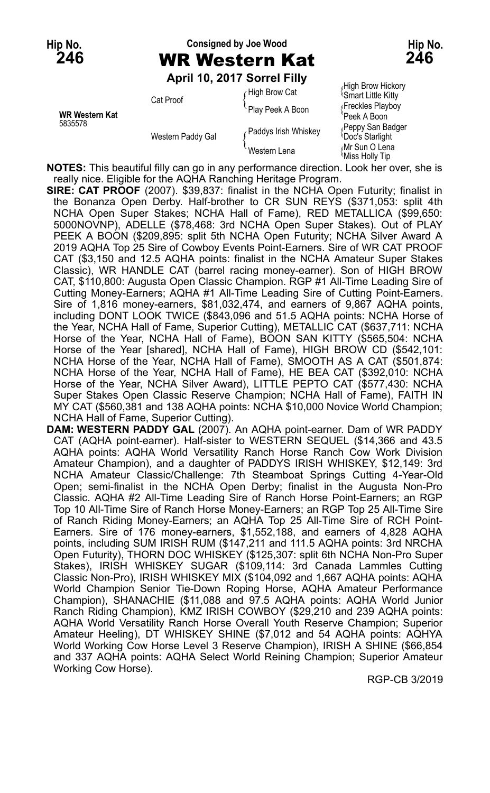# **Hip No. Consigned by Joe Wood Hip No. 246** WR Western Kat **246**

**April 10, 2017 Sorrel Filly**

| <b>WR Western Kat</b><br>5835578 | Cat Proof<br>Western Paddy Gal | High Brow Cat        | $\mu$ וועוטווי וועטוש וועוויון<br><b>Smart Little Kitty</b> |
|----------------------------------|--------------------------------|----------------------|-------------------------------------------------------------|
|                                  |                                | Play Peek A Boon     | Freckles Playboy<br>Peek A Boon                             |
|                                  |                                | Paddys Irish Whiskey | Peppy San Badger<br><b>Doc's Starlight</b>                  |
|                                  |                                | Western Lena         | Mr Sun O Lena<br><b>Miss Holly Tip</b>                      |

High Brow Hickory<br><sup>{</sup>Smart Little Kitty Ir Sun O Len<mark>a</mark><br>liss Holly Tip

**NOTES:** This beautiful filly can go in any performance direction. Look her over, she is really nice. Eligible for the AQHA Ranching Heritage Program.

**SIRE: CAT PROOF** (2007). \$39,837: finalist in the NCHA Open Futurity; finalist in the Bonanza Open Derby. Half-brother to CR SUN REYS (\$371,053: split 4th NCHA Open Super Stakes; NCHA Hall of Fame), RED METALLICA (\$99,650: 5000NOVNP), ADELLE (\$78,468: 3rd NCHA Open Super Stakes). Out of PLAY PEEK A BOON (\$209,895: split 5th NCHA Open Futurity; NCHA Silver Award A 2019 AQHA Top 25 Sire of Cowboy Events Point-Earners. Sire of WR CAT PROOF CAT (\$3,150 and 12.5 AQHA points: finalist in the NCHA Amateur Super Stakes Classic), WR HANDLE CAT (barrel racing money-earner). Son of HIGH BROW CAT, \$110,800: Augusta Open Classic Champion. RGP #1 All-Time Leading Sire of Cutting Money-Earners; AQHA #1 All-Time Leading Sire of Cutting Point-Earners. Sire of 1,816 money-earners, \$81,032,474, and earners of 9,867 AQHA points, including DONT LOOK TWICE (\$843,096 and 51.5 AQHA points: NCHA Horse of the Year, NCHA Hall of Fame, Superior Cutting), METALLIC CAT (\$637,711: NCHA Horse of the Year, NCHA Hall of Fame), BOON SAN KITTY (\$565,504: NCHA Horse of the Year [shared], NCHA Hall of Fame), HIGH BROW CD (\$542,101: NCHA Horse of the Year, NCHA Hall of Fame), SMOOTH AS A CAT (\$501,874: NCHA Horse of the Year, NCHA Hall of Fame), HE BEA CAT (\$392,010: NCHA Horse of the Year, NCHA Silver Award), LITTLE PEPTO CAT (\$577,430: NCHA Super Stakes Open Classic Reserve Champion; NCHA Hall of Fame), FAITH IN MY CAT (\$560,381 and 138 AQHA points: NCHA \$10,000 Novice World Champion; NCHA Hall of Fame, Superior Cutting).

**DAM: WESTERN PADDY GAL** (2007). An AQHA point-earner. Dam of WR PADDY CAT (AQHA point-earner). Half-sister to WESTERN SEQUEL (\$14,366 and 43.5 AQHA points: AQHA World Versatility Ranch Horse Ranch Cow Work Division Amateur Champion), and a daughter of PADDYS IRISH WHISKEY, \$12,149: 3rd NCHA Amateur Classic/Challenge: 7th Steamboat Springs Cutting 4-Year-Old Open; semi-finalist in the NCHA Open Derby; finalist in the Augusta Non-Pro Classic. AQHA #2 All-Time Leading Sire of Ranch Horse Point-Earners; an RGP Top 10 All-Time Sire of Ranch Horse Money-Earners; an RGP Top 25 All-Time Sire of Ranch Riding Money-Earners; an AQHA Top 25 All-Time Sire of RCH Point-Earners. Sire of 176 money-earners, \$1,552,188, and earners of 4,828 AQHA points, including SUM IRISH RUM (\$147,211 and 111.5 AQHA points: 3rd NRCHA Open Futurity), THORN DOC WHISKEY (\$125,307: split 6th NCHA Non-Pro Super Stakes), IRISH WHISKEY SUGAR (\$109,114: 3rd Canada Lammles Cutting Classic Non-Pro), IRISH WHISKEY MIX (\$104,092 and 1,667 AQHA points: AQHA World Champion Senior Tie-Down Roping Horse, AQHA Amateur Performance Champion), SHANACHIE (\$11,088 and 97.5 AQHA points: AQHA World Junior Ranch Riding Champion), KMZ IRISH COWBOY (\$29,210 and 239 AQHA points: AQHA World Versatility Ranch Horse Overall Youth Reserve Champion; Superior Amateur Heeling), DT WHISKEY SHINE (\$7,012 and 54 AQHA points: AQHYA World Working Cow Horse Level 3 Reserve Champion), IRISH A SHINE (\$66,854 and 337 AQHA points: AQHA Select World Reining Champion; Superior Amateur Working Cow Horse).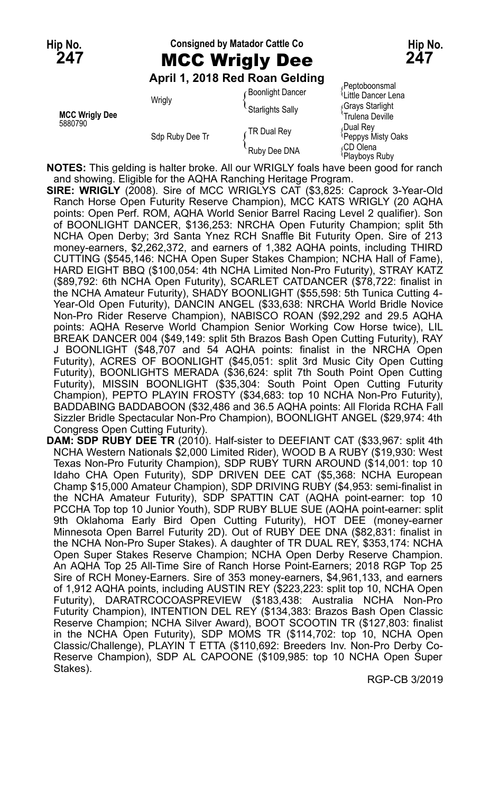## Hip No. **Consigned by Matador Cattle Co Hip No. Hip No. 247** MCC Wrigly Dee **247**

#### **April 1, 2018 Red Roan Gelding**

|                                  | April 1, 2010 Red Roall Geldfild |                         |                                       |
|----------------------------------|----------------------------------|-------------------------|---------------------------------------|
| <b>MCC Wrigly Dee</b><br>5880790 | Wrigly<br>Sdp Ruby Dee Tr        | <b>Boonlight Dancer</b> | √Peptoboonsmal<br>ਪLittle Dancer Lena |
|                                  |                                  | Starlights Sally        | Grays Starlight<br>Trulena Deville    |
|                                  |                                  | TR Dual Rey             | Dual Rev،<br>Peppys Misty Oaks        |
|                                  |                                  | Ruby Dee DNA            | ،CD Olena<br>Playboys Ruby            |

**NOTES:** This gelding is halter broke. All our WRIGLY foals have been good for ranch and showing. Eligible for the AQHA Ranching Heritage Program.

**SIRE: WRIGLY** (2008). Sire of MCC WRIGLYS CAT (\$3,825: Caprock 3-Year-Old Ranch Horse Open Futurity Reserve Champion), MCC KATS WRIGLY (20 AQHA points: Open Perf. ROM, AQHA World Senior Barrel Racing Level 2 qualifier). Son of BOONLIGHT DANCER, \$136,253: NRCHA Open Futurity Champion; split 5th NCHA Open Derby; 3rd Santa Ynez RCH Snaffle Bit Futurity Open. Sire of 213 money-earners, \$2,262,372, and earners of 1,382 AQHA points, including THIRD CUTTING (\$545,146: NCHA Open Super Stakes Champion; NCHA Hall of Fame), HARD EIGHT BBQ (\$100,054: 4th NCHA Limited Non-Pro Futurity), STRAY KATZ (\$89,792: 6th NCHA Open Futurity), SCARLET CATDANCER (\$78,722: finalist in the NCHA Amateur Futurity), SHADY BOONLIGHT (\$55,598: 5th Tunica Cutting 4- Year-Old Open Futurity), DANCIN ANGEL (\$33,638: NRCHA World Bridle Novice Non-Pro Rider Reserve Champion), NABISCO ROAN (\$92,292 and 29.5 AQHA points: AQHA Reserve World Champion Senior Working Cow Horse twice), LIL BREAK DANCER 004 (\$49,149: split 5th Brazos Bash Open Cutting Futurity), RAY J BOONLIGHT (\$48,707 and 54 AQHA points: finalist in the NRCHA Open Futurity), ACRES OF BOONLIGHT (\$45,051: split 3rd Music City Open Cutting Futurity), BOONLIGHTS MERADA (\$36,624: split 7th South Point Open Cutting Futurity), MISSIN BOONLIGHT (\$35,304: South Point Open Cutting Futurity Champion), PEPTO PLAYIN FROSTY (\$34,683: top 10 NCHA Non-Pro Futurity), BADDABING BADDABOON (\$32,486 and 36.5 AQHA points: All Florida RCHA Fall Sizzler Bridle Spectacular Non-Pro Champion), BOONLIGHT ANGEL (\$29,974: 4th Congress Open Cutting Futurity).

**DAM: SDP RUBY DEE TR** (2010). Half-sister to DEEFIANT CAT (\$33,967: split 4th NCHA Western Nationals \$2,000 Limited Rider), WOOD B A RUBY (\$19,930: West Texas Non-Pro Futurity Champion), SDP RUBY TURN AROUND (\$14,001: top 10 Idaho CHA Open Futurity), SDP DRIVEN DEE CAT (\$5,368: NCHA European Champ \$15,000 Amateur Champion), SDP DRIVING RUBY (\$4,953: semi-finalist in the NCHA Amateur Futurity), SDP SPATTIN CAT (AQHA point-earner: top 10 PCCHA Top top 10 Junior Youth), SDP RUBY BLUE SUE (AQHA point-earner: split 9th Oklahoma Early Bird Open Cutting Futurity), HOT DEE (money-earner Minnesota Open Barrel Futurity 2D). Out of RUBY DEE DNA (\$82,831: finalist in the NCHA Non-Pro Super Stakes). A daughter of TR DUAL REY, \$353,174: NCHA Open Super Stakes Reserve Champion; NCHA Open Derby Reserve Champion. An AQHA Top 25 All-Time Sire of Ranch Horse Point-Earners; 2018 RGP Top 25 Sire of RCH Money-Earners. Sire of 353 money-earners, \$4,961,133, and earners of 1,912 AQHA points, including AUSTIN REY (\$223,223: split top 10, NCHA Open Futurity), DARATRCOCOASPREVIEW (\$183,438: Australia NCHA Non-Pro Futurity Champion), INTENTION DEL REY (\$134,383: Brazos Bash Open Classic Reserve Champion; NCHA Silver Award), BOOT SCOOTIN TR (\$127,803: finalist in the NCHA Open Futurity), SDP MOMS TR (\$114,702: top 10, NCHA Open Classic/Challenge), PLAYIN T ETTA (\$110,692: Breeders Inv. Non-Pro Derby Co-Reserve Champion), SDP AL CAPOONE (\$109,985: top 10 NCHA Open Super Stakes).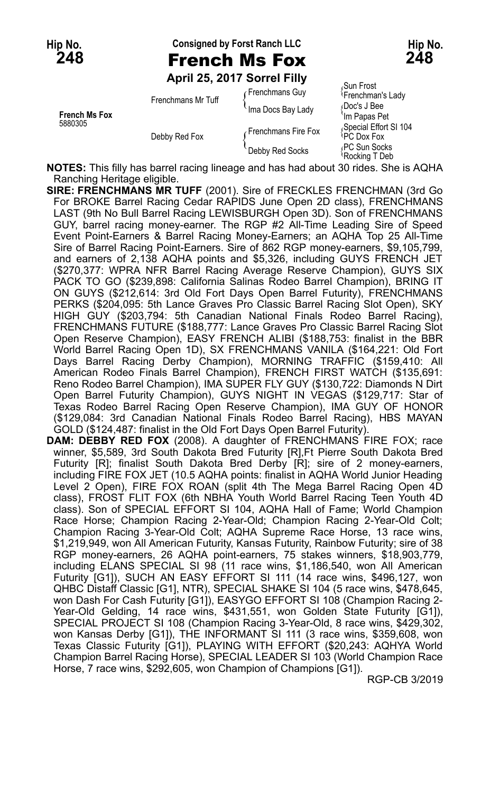**Hip No. Consigned by Forst Ranch LLC Hip No.**

**April 25, 2017 Sorrel Filly**

| <b>French Ms Fox</b><br>5880305 | Frenchmans Mr Tuff | Frenchmans Guy      | Sun Frost،<br><sup>l</sup> Frenchman's Lady |
|---------------------------------|--------------------|---------------------|---------------------------------------------|
|                                 |                    | Ima Docs Bay Lady   | Doc's J Bee<br>'Im Papas Pet                |
|                                 | Debby Red Fox      | Frenchmans Fire Fox | Special Effort SI 104<br>PC Dox Fox         |
|                                 |                    | Debby Red Socks     | PC Sun Socks<br>\R∩cking T Deh              |

Sun Frost<br>Frenchman's Lady ocking T Deb

**NOTES:** This filly has barrel racing lineage and has had about 30 rides. She is AQHA Ranching Heritage eligible.

**SIRE: FRENCHMANS MR TUFF** (2001). Sire of FRECKLES FRENCHMAN (3rd Go For BROKE Barrel Racing Cedar RAPIDS June Open 2D class), FRENCHMANS LAST (9th No Bull Barrel Racing LEWISBURGH Open 3D). Son of FRENCHMANS GUY, barrel racing money-earner. The RGP #2 All-Time Leading Sire of Speed Event Point-Earners & Barrel Racing Money-Earners; an AQHA Top 25 All-Time Sire of Barrel Racing Point-Earners. Sire of 862 RGP money-earners, \$9,105,799, and earners of 2,138 AQHA points and \$5,326, including GUYS FRENCH JET (\$270,377: WPRA NFR Barrel Racing Average Reserve Champion), GUYS SIX PACK TO GO (\$239,898: California Salinas Rodeo Barrel Champion), BRING IT ON GUYS (\$212,614: 3rd Old Fort Days Open Barrel Futurity), FRENCHMANS PERKS (\$204,095: 5th Lance Graves Pro Classic Barrel Racing Slot Open), SKY HIGH GUY (\$203,794: 5th Canadian National Finals Rodeo Barrel Racing), FRENCHMANS FUTURE (\$188,777: Lance Graves Pro Classic Barrel Racing Slot Open Reserve Champion), EASY FRENCH ALIBI (\$188,753: finalist in the BBR World Barrel Racing Open 1D), SX FRENCHMANS VANILA (\$164,221: Old Fort Days Barrel Racing Derby Champion), MORNING TRAFFIC (\$159,410: All American Rodeo Finals Barrel Champion), FRENCH FIRST WATCH (\$135,691: Reno Rodeo Barrel Champion), IMA SUPER FLY GUY (\$130,722: Diamonds N Dirt Open Barrel Futurity Champion), GUYS NIGHT IN VEGAS (\$129,717: Star of Texas Rodeo Barrel Racing Open Reserve Champion), IMA GUY OF HONOR (\$129,084: 3rd Canadian National Finals Rodeo Barrel Racing), HBS MAYAN GOLD (\$124,487: finalist in the Old Fort Days Open Barrel Futurity).

**DAM: DEBBY RED FOX** (2008). A daughter of FRENCHMANS FIRE FOX; race winner, \$5,589, 3rd South Dakota Bred Futurity [R],Ft Pierre South Dakota Bred Futurity [R]; finalist South Dakota Bred Derby [R]; sire of 2 money-earners, including FIRE FOX JET (10.5 AQHA points: finalist in AQHA World Junior Heading Level 2 Open), FIRE FOX ROAN (split 4th The Mega Barrel Racing Open 4D class), FROST FLIT FOX (6th NBHA Youth World Barrel Racing Teen Youth 4D class). Son of SPECIAL EFFORT SI 104, AQHA Hall of Fame; World Champion Race Horse; Champion Racing 2-Year-Old; Champion Racing 2-Year-Old Colt; Champion Racing 3-Year-Old Colt; AQHA Supreme Race Horse, 13 race wins, \$1,219,949, won All American Futurity, Kansas Futurity, Rainbow Futurity; sire of 38 RGP money-earners, 26 AQHA point-earners, 75 stakes winners, \$18,903,779, including ELANS SPECIAL SI 98 (11 race wins, \$1,186,540, won All American Futurity [G1]), SUCH AN EASY EFFORT SI 111 (14 race wins, \$496,127, won QHBC Distaff Classic [G1], NTR), SPECIAL SHAKE SI 104 (5 race wins, \$478,645, won Dash For Cash Futurity [G1]), EASYGO EFFORT SI 108 (Champion Racing 2- Year-Old Gelding, 14 race wins, \$431,551, won Golden State Futurity [G1]), SPECIAL PROJECT SI 108 (Champion Racing 3-Year-Old, 8 race wins, \$429,302, won Kansas Derby [G1]), THE INFORMANT SI 111 (3 race wins, \$359,608, won Texas Classic Futurity [G1]), PLAYING WITH EFFORT (\$20,243: AQHYA World Champion Barrel Racing Horse), SPECIAL LEADER SI 103 (World Champion Race Horse, 7 race wins, \$292,605, won Champion of Champions [G1]).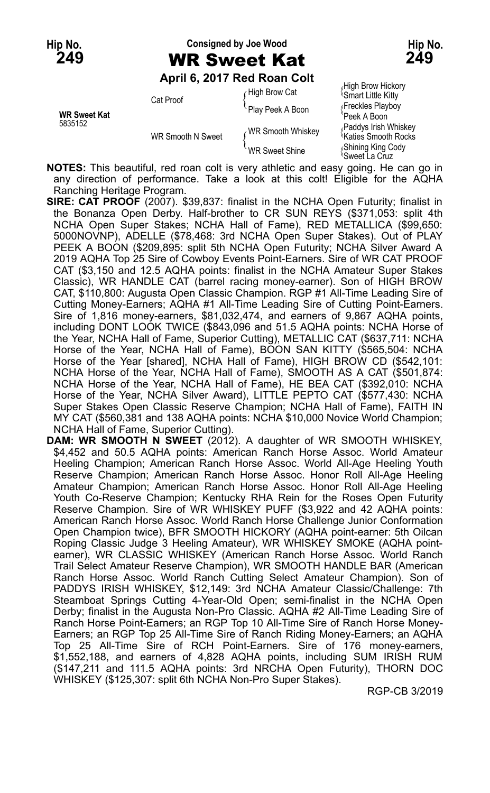#### **Hip No. Consigned by Joe Wood Hip No. 249** WR Sweet Kat **249**

#### **April 6, 2017 Red Roan Colt**

|                     | AMII VILLUIT INGU INGUH OOR |                       |                                                          |
|---------------------|-----------------------------|-----------------------|----------------------------------------------------------|
|                     | Cat Proof                   | ⊱Hiqh Brow Cat        | High Brow Hickory<br><b>Smart Little Kitty</b>           |
| <b>WR Sweet Kat</b> |                             | Play Peek A Boon      | Freckles Playboy<br>Peek A Boon                          |
| 5835152             | <b>WR Smooth N Sweet</b>    | WR Smooth Whiskey     | Paddys Irish Whiskey<br><sup>≀</sup> Katies Smooth Rocks |
|                     |                             | <b>WR Sweet Shine</b> | Shining King Cody<br>'Sweet La Cruz                      |

**NOTES:** This beautiful, red roan colt is very athletic and easy going. He can go in any direction of performance. Take a look at this colt! Eligible for the AQHA Ranching Heritage Program.

**SIRE: CAT PROOF** (2007). \$39,837: finalist in the NCHA Open Futurity; finalist in the Bonanza Open Derby. Half-brother to CR SUN REYS (\$371,053: split 4th NCHA Open Super Stakes; NCHA Hall of Fame), RED METALLICA (\$99,650: 5000NOVNP), ADELLE (\$78,468: 3rd NCHA Open Super Stakes). Out of PLAY PEEK A BOON (\$209,895: split 5th NCHA Open Futurity; NCHA Silver Award A 2019 AQHA Top 25 Sire of Cowboy Events Point-Earners. Sire of WR CAT PROOF CAT (\$3,150 and 12.5 AQHA points: finalist in the NCHA Amateur Super Stakes Classic), WR HANDLE CAT (barrel racing money-earner). Son of HIGH BROW CAT, \$110,800: Augusta Open Classic Champion. RGP #1 All-Time Leading Sire of Cutting Money-Earners; AQHA #1 All-Time Leading Sire of Cutting Point-Earners. Sire of 1,816 money-earners, \$81,032,474, and earners of 9,867 AQHA points, including DONT LOOK TWICE (\$843,096 and 51.5 AQHA points: NCHA Horse of the Year, NCHA Hall of Fame, Superior Cutting), METALLIC CAT (\$637,711: NCHA Horse of the Year, NCHA Hall of Fame), BOON SAN KITTY (\$565,504: NCHA Horse of the Year [shared], NCHA Hall of Fame), HIGH BROW CD (\$542,101: NCHA Horse of the Year, NCHA Hall of Fame), SMOOTH AS A CAT (\$501,874: NCHA Horse of the Year, NCHA Hall of Fame), HE BEA CAT (\$392,010: NCHA Horse of the Year, NCHA Silver Award), LITTLE PEPTO CAT (\$577,430: NCHA Super Stakes Open Classic Reserve Champion; NCHA Hall of Fame), FAITH IN MY CAT (\$560,381 and 138 AQHA points: NCHA \$10,000 Novice World Champion; NCHA Hall of Fame, Superior Cutting).

**DAM: WR SMOOTH N SWEET** (2012). A daughter of WR SMOOTH WHISKEY, \$4,452 and 50.5 AQHA points: American Ranch Horse Assoc. World Amateur Heeling Champion; American Ranch Horse Assoc. World All-Age Heeling Youth Reserve Champion; American Ranch Horse Assoc. Honor Roll All-Age Heeling Amateur Champion; American Ranch Horse Assoc. Honor Roll All-Age Heeling Youth Co-Reserve Champion; Kentucky RHA Rein for the Roses Open Futurity Reserve Champion. Sire of WR WHISKEY PUFF (\$3,922 and 42 AQHA points: American Ranch Horse Assoc. World Ranch Horse Challenge Junior Conformation Open Champion twice), BFR SMOOTH HICKORY (AQHA point-earner: 5th Oilcan Roping Classic Judge 3 Heeling Amateur), WR WHISKEY SMOKE (AQHA pointearner), WR CLASSIC WHISKEY (American Ranch Horse Assoc. World Ranch Trail Select Amateur Reserve Champion), WR SMOOTH HANDLE BAR (American Ranch Horse Assoc. World Ranch Cutting Select Amateur Champion). Son of PADDYS IRISH WHISKEY, \$12,149: 3rd NCHA Amateur Classic/Challenge: 7th Steamboat Springs Cutting 4-Year-Old Open; semi-finalist in the NCHA Open Derby; finalist in the Augusta Non-Pro Classic. AQHA #2 All-Time Leading Sire of Ranch Horse Point-Earners; an RGP Top 10 All-Time Sire of Ranch Horse Money-Earners; an RGP Top 25 All-Time Sire of Ranch Riding Money-Earners; an AQHA Top 25 All-Time Sire of RCH Point-Earners. Sire of 176 money-earners, \$1,552,188, and earners of 4,828 AQHA points, including SUM IRISH RUM (\$147,211 and 111.5 AQHA points: 3rd NRCHA Open Futurity), THORN DOC WHISKEY (\$125,307: split 6th NCHA Non-Pro Super Stakes).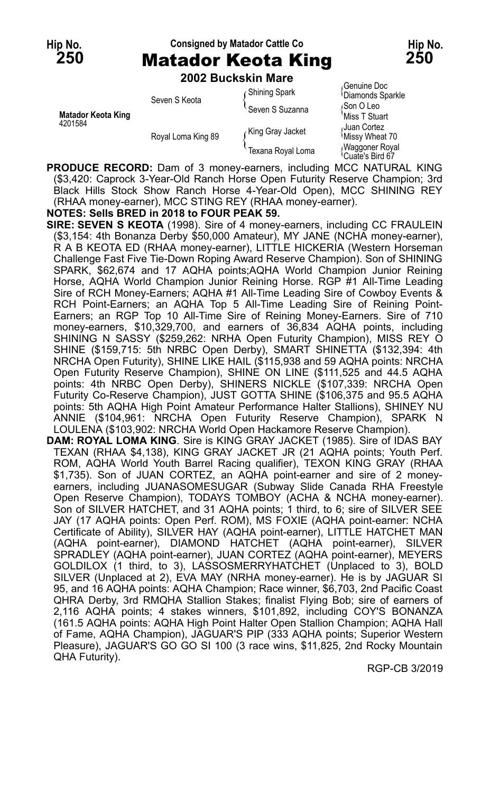## Hip No. **Consigned by Matador Cattle Co Hip No. Hip No. 250** Matador Keota King **250**

**2002 Buckskin Mare**

|                           | LUVL DUCRJINII INGIC |                      |                                                |
|---------------------------|----------------------|----------------------|------------------------------------------------|
|                           | Seven S Keota        | <b>Shining Spark</b> | Genuine Doc<br><sup>1</sup> Diamonds Sparkle   |
| <b>Matador Keota King</b> |                      | Seven S Suzanna      | Son O Leo<br>'Miss T Stuart                    |
| 4201584                   | Royal Loma King 89   | King Gray Jacket     | Juan Cortez<br>Missy Wheat 70                  |
|                           |                      | Texana Royal Loma    | Waggoner Royal<br><sup>t</sup> Cuate's Bird 67 |

**PRODUCE RECORD:** Dam of 3 money-earners, including MCC NATURAL KING (\$3,420: Caprock 3-Year-Old Ranch Horse Open Futurity Reserve Champion; 3rd Black Hills Stock Show Ranch Horse 4-Year-Old Open), MCC SHINING REY (RHAA money-earner), MCC STING REY (RHAA money-earner).

#### **NOTES: Sells BRED in 2018 to FOUR PEAK 59.**

**SIRE: SEVEN S KEOTA** (1998). Sire of 4 money-earners, including CC FRAULEIN (\$3,154: 4th Bonanza Derby \$50,000 Amateur), MY JANE (NCHA money-earner), R A B KEOTA ED (RHAA money-earner), LITTLE HICKERIA (Western Horseman Challenge Fast Five Tie-Down Roping Award Reserve Champion). Son of SHINING SPARK, \$62,674 and 17 AQHA points;AQHA World Champion Junior Reining Horse, AQHA World Champion Junior Reining Horse. RGP #1 All-Time Leading Sire of RCH Money-Earners; AQHA #1 All-Time Leading Sire of Cowboy Events & RCH Point-Earners; an AQHA Top 5 All-Time Leading Sire of Reining Point-Earners; an RGP Top 10 All-Time Sire of Reining Money-Earners. Sire of 710 money-earners, \$10,329,700, and earners of 36,834 AQHA points, including SHINING N SASSY (\$259,262: NRHA Open Futurity Champion), MISS REY O SHINE (\$159,715: 5th NRBC Open Derby), SMART SHINETTA (\$132,394: 4th NRCHA Open Futurity), SHINE LIKE HAIL (\$115,938 and 59 AQHA points: NRCHA Open Futurity Reserve Champion), SHINE ON LINE (\$111,525 and 44.5 AQHA points: 4th NRBC Open Derby), SHINERS NICKLE (\$107,339: NRCHA Open Futurity Co-Reserve Champion), JUST GOTTA SHINE (\$106,375 and 95.5 AQHA points: 5th AQHA High Point Amateur Performance Halter Stallions), SHINEY NU ANNIE (\$104,961: NRCHA Open Futurity Reserve Champion), SPARK N LOULENA (\$103,902: NRCHA World Open Hackamore Reserve Champion).

**DAM: ROYAL LOMA KING**. Sire is KING GRAY JACKET (1985). Sire of IDAS BAY TEXAN (RHAA \$4,138), KING GRAY JACKET JR (21 AQHA points; Youth Perf. ROM, AQHA World Youth Barrel Racing qualifier), TEXON KING GRAY (RHAA \$1,735). Son of JUAN CORTEZ, an AQHA point-earner and sire of 2 moneyearners, including JUANASOMESUGAR (Subway Slide Canada RHA Freestyle Open Reserve Champion), TODAYS TOMBOY (ACHA & NCHA money-earner). Son of SILVER HATCHET, and 31 AQHA points; 1 third, to 6; sire of SILVER SEE JAY (17 AQHA points: Open Perf. ROM), MS FOXIE (AQHA point-earner: NCHA Certificate of Ability), SILVER HAY (AQHA point-earner), LITTLE HATCHET MAN (AQHA point-earner), DIAMOND HATCHET (AQHA point-earner), SILVER SPRADLEY (AQHA point-earner), JUAN CORTEZ (AQHA point-earner), MEYERS GOLDILOX (1 third, to 3), LASSOSMERRYHATCHET (Unplaced to 3), BOLD SILVER (Unplaced at 2), EVA MAY (NRHA money-earner). He is by JAGUAR SI 95, and 16 AQHA points: AQHA Champion; Race winner, \$6,703, 2nd Pacific Coast QHRA Derby, 3rd RMQHA Stallion Stakes; finalist Flying Bob; sire of earners of 2,116 AQHA points; 4 stakes winners, \$101,892, including COY'S BONANZA (161.5 AQHA points: AQHA High Point Halter Open Stallion Champion; AQHA Hall of Fame, AQHA Champion), JAGUAR'S PIP (333 AQHA points; Superior Western Pleasure), JAGUAR'S GO GO SI 100 (3 race wins, \$11,825, 2nd Rocky Mountain QHA Futurity).